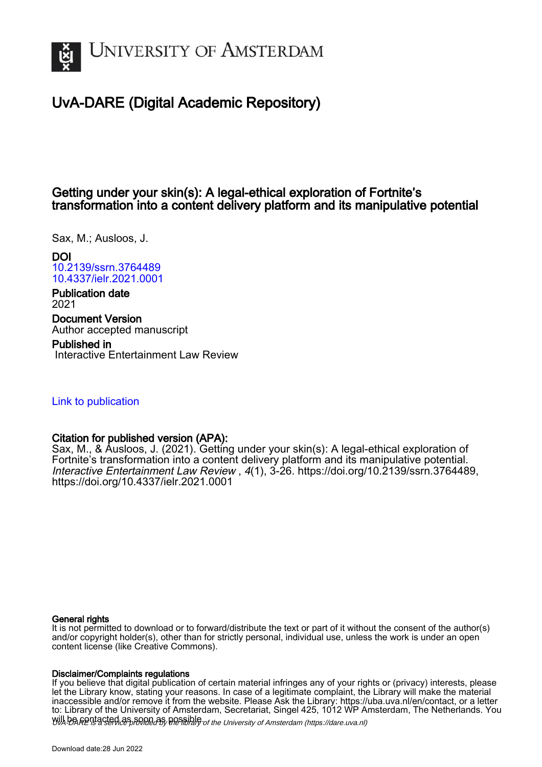

# UvA-DARE (Digital Academic Repository)

# Getting under your skin(s): A legal-ethical exploration of Fortnite's transformation into a content delivery platform and its manipulative potential

Sax, M.; Ausloos, J.

DOI [10.2139/ssrn.3764489](https://doi.org/10.2139/ssrn.3764489) [10.4337/ielr.2021.0001](https://doi.org/10.4337/ielr.2021.0001)

Publication date 2021

Document Version Author accepted manuscript

Published in Interactive Entertainment Law Review

# [Link to publication](https://dare.uva.nl/personal/pure/en/publications/getting-under-your-skins-a-legalethical-exploration-of-fortnites-transformation-into-a-content-delivery-platform-and-its-manipulative-potential(bfeba4ab-6ae0-474d-b982-cfe8a5aab85d).html)

# Citation for published version (APA):

Sax, M., & Ausloos, J. (2021). Getting under your skin(s): A legal-ethical exploration of Fortnite's transformation into a content delivery platform and its manipulative potential. Interactive Entertainment Law Review , 4(1), 3-26. <https://doi.org/10.2139/ssrn.3764489>, <https://doi.org/10.4337/ielr.2021.0001>

#### General rights

It is not permitted to download or to forward/distribute the text or part of it without the consent of the author(s) and/or copyright holder(s), other than for strictly personal, individual use, unless the work is under an open content license (like Creative Commons).

#### Disclaimer/Complaints regulations

Will be **Rentacted as solutions** the spilling of the University of Amsterdam (https://dare.uva.nl) If you believe that digital publication of certain material infringes any of your rights or (privacy) interests, please let the Library know, stating your reasons. In case of a legitimate complaint, the Library will make the material inaccessible and/or remove it from the website. Please Ask the Library: https://uba.uva.nl/en/contact, or a letter to: Library of the University of Amsterdam, Secretariat, Singel 425, 1012 WP Amsterdam, The Netherlands. You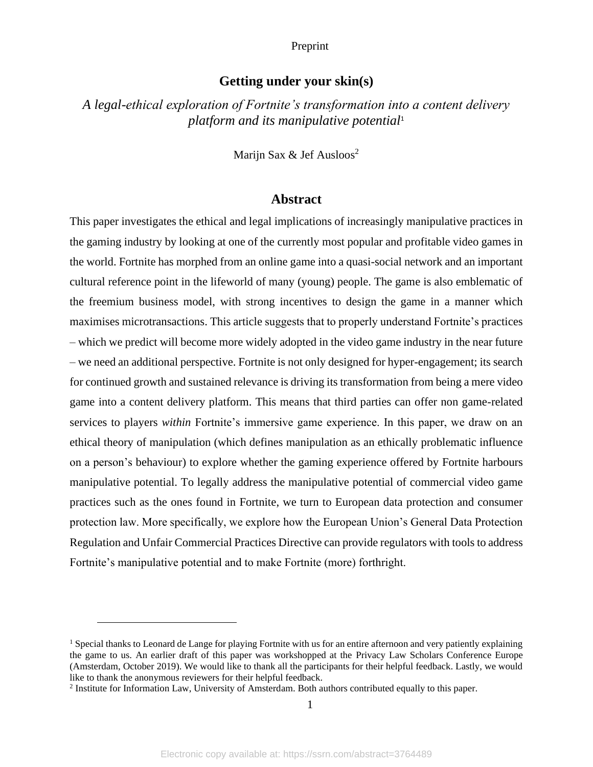# **Getting under your skin(s)**

*A legal-ethical exploration of Fortnite's transformation into a content delivery platform and its manipulative potential*<sup>1</sup>

Marijn Sax  $&$  Jef Ausloos<sup>2</sup>

### **Abstract**

This paper investigates the ethical and legal implications of increasingly manipulative practices in the gaming industry by looking at one of the currently most popular and profitable video games in the world. Fortnite has morphed from an online game into a quasi-social network and an important cultural reference point in the lifeworld of many (young) people. The game is also emblematic of the freemium business model, with strong incentives to design the game in a manner which maximises microtransactions. This article suggests that to properly understand Fortnite's practices – which we predict will become more widely adopted in the video game industry in the near future – we need an additional perspective. Fortnite is not only designed for hyper-engagement; its search for continued growth and sustained relevance is driving its transformation from being a mere video game into a content delivery platform. This means that third parties can offer non game-related services to players *within* Fortnite's immersive game experience. In this paper, we draw on an ethical theory of manipulation (which defines manipulation as an ethically problematic influence on a person's behaviour) to explore whether the gaming experience offered by Fortnite harbours manipulative potential. To legally address the manipulative potential of commercial video game practices such as the ones found in Fortnite, we turn to European data protection and consumer protection law. More specifically, we explore how the European Union's General Data Protection Regulation and Unfair Commercial Practices Directive can provide regulators with tools to address Fortnite's manipulative potential and to make Fortnite (more) forthright.

<sup>&</sup>lt;sup>1</sup> Special thanks to Leonard de Lange for playing Fortnite with us for an entire afternoon and very patiently explaining the game to us. An earlier draft of this paper was workshopped at the Privacy Law Scholars Conference Europe (Amsterdam, October 2019). We would like to thank all the participants for their helpful feedback. Lastly, we would like to thank the anonymous reviewers for their helpful feedback.

<sup>&</sup>lt;sup>2</sup> Institute for Information Law, University of Amsterdam. Both authors contributed equally to this paper.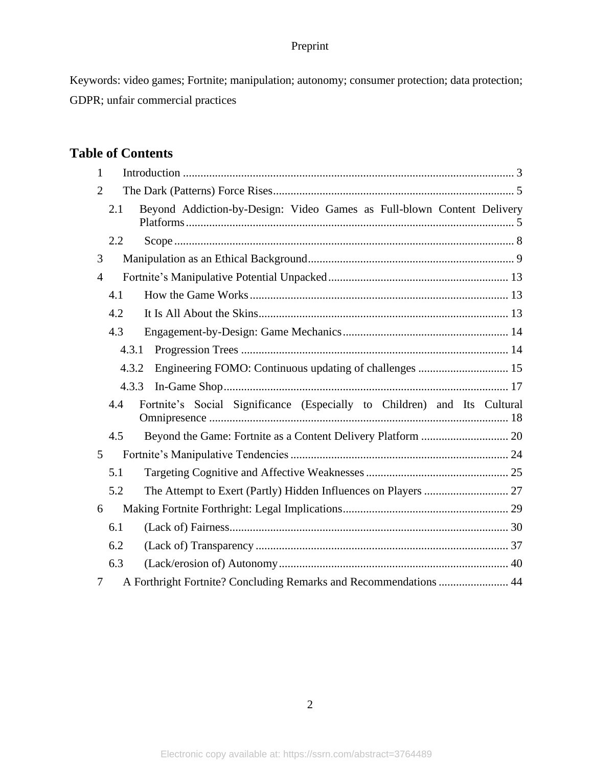Keywords: video games; Fortnite; manipulation; autonomy; consumer protection; data protection; GDPR; unfair commercial practices

# **Table of Contents**

| 1              |                                                                                 |  |
|----------------|---------------------------------------------------------------------------------|--|
| 2              |                                                                                 |  |
|                | Beyond Addiction-by-Design: Video Games as Full-blown Content Delivery<br>2.1   |  |
|                | 2.2                                                                             |  |
| 3              |                                                                                 |  |
| $\overline{4}$ |                                                                                 |  |
|                | 4.1                                                                             |  |
|                | 4.2                                                                             |  |
|                | 4.3                                                                             |  |
|                | 4.3.1                                                                           |  |
|                | Engineering FOMO: Continuous updating of challenges  15<br>4.3.2                |  |
|                | 4.3.3                                                                           |  |
|                |                                                                                 |  |
|                | Fortnite's Social Significance (Especially to Children) and Its Cultural<br>4.4 |  |
|                | 4.5                                                                             |  |
| 5              |                                                                                 |  |
|                | 5.1                                                                             |  |
|                | 5.2                                                                             |  |
| 6              |                                                                                 |  |
|                | 6.1                                                                             |  |
|                | 6.2                                                                             |  |
|                | 6.3                                                                             |  |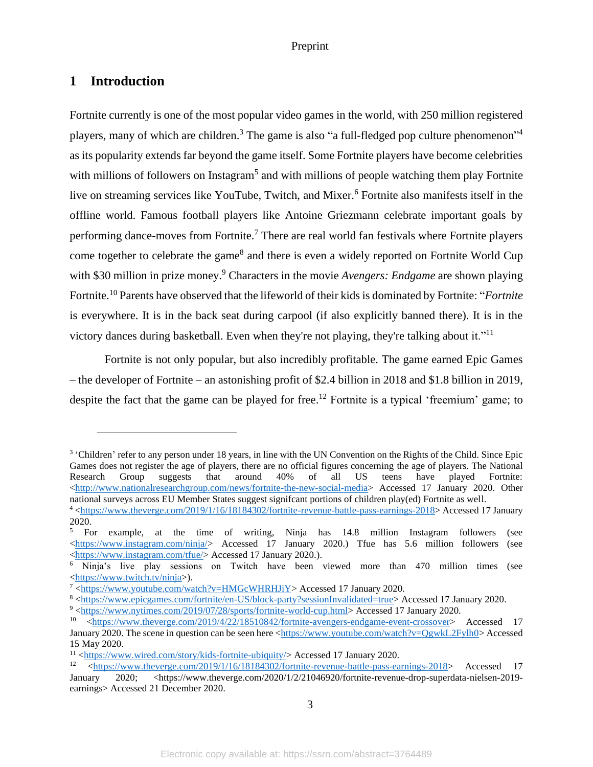# <span id="page-3-0"></span>**1 Introduction**

Fortnite currently is one of the most popular video games in the world, with 250 million registered players, many of which are children.<sup>3</sup> The game is also "a full-fledged pop culture phenomenon"<sup>4</sup> as its popularity extends far beyond the game itself. Some Fortnite players have become celebrities with millions of followers on Instagram<sup>5</sup> and with millions of people watching them play Fortnite live on streaming services like YouTube, Twitch, and Mixer. <sup>6</sup> Fortnite also manifests itself in the offline world. Famous football players like Antoine Griezmann celebrate important goals by performing dance-moves from Fortnite.<sup>7</sup> There are real world fan festivals where Fortnite players come together to celebrate the game<sup>8</sup> and there is even a widely reported on Fortnite World Cup with \$30 million in prize money.<sup>9</sup> Characters in the movie *Avengers: Endgame* are shown playing Fortnite. <sup>10</sup> Parents have observed that the lifeworld of their kids is dominated by Fortnite: "*Fortnite* is everywhere. It is in the back seat during carpool (if also explicitly banned there). It is in the victory dances during basketball. Even when they're not playing, they're talking about it."<sup>11</sup>

Fortnite is not only popular, but also incredibly profitable. The game earned Epic Games – the developer of Fortnite – an astonishing profit of \$2.4 billion in 2018 and \$1.8 billion in 2019, despite the fact that the game can be played for free.<sup>12</sup> Fortnite is a typical 'freemium' game; to

<sup>&</sup>lt;sup>3</sup> 'Children' refer to any person under 18 years, in line with the UN Convention on the Rights of the Child. Since Epic Games does not register the age of players, there are no official figures concerning the age of players. The National Research Group suggests that around 40% of all US teens have played Fortnite:  $\langle$ http://www.nationalresearchgroup.com/news/fortnite-the-new-social-media> Accessed 17 January 2020. Other national surveys across EU Member States suggest signifcant portions of children play(ed) Fortnite as well.

<sup>4</sup> [<https://www.theverge.com/2019/1/16/18184302/fortnite-revenue-battle-pass-earnings-2018>](https://www.theverge.com/2019/1/16/18184302/fortnite-revenue-battle-pass-earnings-2018) Accessed 17 January 2020.

<sup>5</sup> For example, at the time of writing, Ninja has 14.8 million Instagram followers (see  $\langle \frac{https://www.instagram.com/ninja/}{https://www.instagram.com/ninja/}{Accessed}$  17 January 2020.) Tfue has 5.6 million followers (see [<https://www.instagram.com/tfue/>](https://www.instagram.com/tfue/) Accessed 17 January 2020.).

<sup>6</sup> Ninja's live play sessions on Twitch have been viewed more than 470 million times (see [<https://www.twitch.tv/ninja>](https://www.twitch.tv/ninja)).

<sup>7</sup> [<https://www.youtube.com/watch?v=HMGcWHRHJiY>](https://www.youtube.com/watch?v=HMGcWHRHJiY) Accessed 17 January 2020.

<sup>8</sup> [<https://www.epicgames.com/fortnite/en-US/block-party?sessionInvalidated=true>](https://www.epicgames.com/fortnite/en-US/block-party?sessionInvalidated=true) Accessed 17 January 2020.

<sup>9</sup> [<https://www.nytimes.com/2019/07/28/sports/fortnite-world-cup.html>](https://www.nytimes.com/2019/07/28/sports/fortnite-world-cup.html) Accessed 17 January 2020.

<sup>10</sup> [<https://www.theverge.com/2019/4/22/18510842/fortnite-avengers-endgame-event-crossover>](https://www.theverge.com/2019/4/22/18510842/fortnite-avengers-endgame-event-crossover) Accessed 17 January 2020. The scene in question can be seen here [<https://www.youtube.com/watch?v=QgwkL2Fylh0>](https://www.youtube.com/watch?v=QgwkL2Fylh0) Accessed 15 May 2020.

<sup>&</sup>lt;sup>11</sup> [<https://www.wired.com/story/kids-fortnite-ubiquity/>](https://www.wired.com/story/kids-fortnite-ubiquity/)Accessed 17 January 2020.

<sup>12</sup> [<https://www.theverge.com/2019/1/16/18184302/fortnite-revenue-battle-pass-earnings-2018>](https://www.theverge.com/2019/1/16/18184302/fortnite-revenue-battle-pass-earnings-2018) Accessed 17 January 2020; <https://www.theverge.com/2020/1/2/21046920/fortnite-revenue-drop-superdata-nielsen-2019 earnings> Accessed 21 December 2020.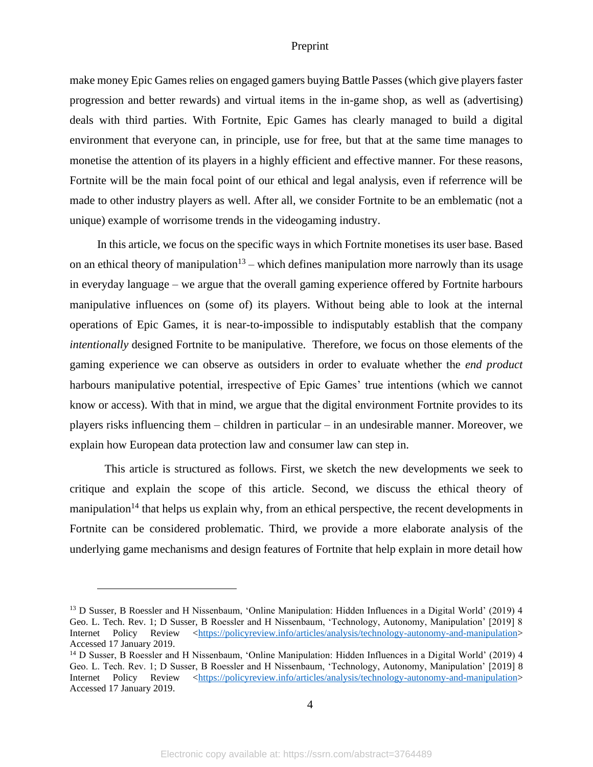make money Epic Games relies on engaged gamers buying Battle Passes (which give players faster progression and better rewards) and virtual items in the in-game shop, as well as (advertising) deals with third parties. With Fortnite, Epic Games has clearly managed to build a digital environment that everyone can, in principle, use for free, but that at the same time manages to monetise the attention of its players in a highly efficient and effective manner. For these reasons, Fortnite will be the main focal point of our ethical and legal analysis, even if referrence will be made to other industry players as well. After all, we consider Fortnite to be an emblematic (not a unique) example of worrisome trends in the videogaming industry.

In this article, we focus on the specific ways in which Fortnite monetises its user base. Based on an ethical theory of manipulation<sup>13</sup> – which defines manipulation more narrowly than its usage in everyday language – we argue that the overall gaming experience offered by Fortnite harbours manipulative influences on (some of) its players. Without being able to look at the internal operations of Epic Games, it is near-to-impossible to indisputably establish that the company *intentionally* designed Fortnite to be manipulative. Therefore, we focus on those elements of the gaming experience we can observe as outsiders in order to evaluate whether the *end product* harbours manipulative potential, irrespective of Epic Games' true intentions (which we cannot know or access). With that in mind, we argue that the digital environment Fortnite provides to its players risks influencing them – children in particular – in an undesirable manner. Moreover, we explain how European data protection law and consumer law can step in.

This article is structured as follows. First, we sketch the new developments we seek to critique and explain the scope of this article. Second, we discuss the ethical theory of manipulation<sup>14</sup> that helps us explain why, from an ethical perspective, the recent developments in Fortnite can be considered problematic. Third, we provide a more elaborate analysis of the underlying game mechanisms and design features of Fortnite that help explain in more detail how

<sup>&</sup>lt;sup>13</sup> D Susser, B Roessler and H Nissenbaum, 'Online Manipulation: Hidden Influences in a Digital World' (2019) 4 Geo. L. Tech. Rev. 1; D Susser, B Roessler and H Nissenbaum, 'Technology, Autonomy, Manipulation' [2019] 8 Internet Policy Review [<https://policyreview.info/articles/analysis/technology-autonomy-and-manipulation>](https://policyreview.info/articles/analysis/technology-autonomy-and-manipulation) Accessed 17 January 2019.

<sup>&</sup>lt;sup>14</sup> D Susser, B Roessler and H Nissenbaum, 'Online Manipulation: Hidden Influences in a Digital World' (2019) 4 Geo. L. Tech. Rev. 1; D Susser, B Roessler and H Nissenbaum, 'Technology, Autonomy, Manipulation' [2019] 8 Internet Policy Review [<https://policyreview.info/articles/analysis/technology-autonomy-and-manipulation>](https://policyreview.info/articles/analysis/technology-autonomy-and-manipulation) Accessed 17 January 2019.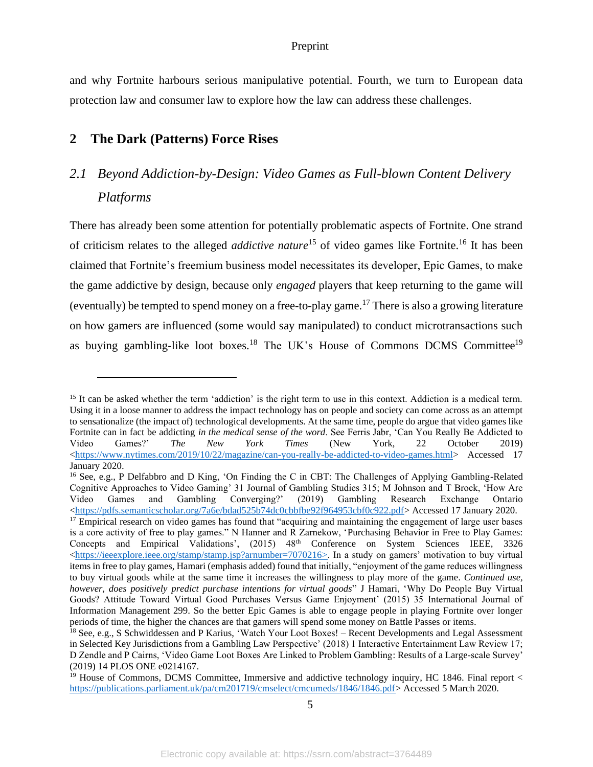and why Fortnite harbours serious manipulative potential. Fourth, we turn to European data protection law and consumer law to explore how the law can address these challenges.

## <span id="page-5-0"></span>**2 The Dark (Patterns) Force Rises**

# <span id="page-5-1"></span>*2.1 Beyond Addiction-by-Design: Video Games as Full-blown Content Delivery Platforms*

There has already been some attention for potentially problematic aspects of Fortnite. One strand of criticism relates to the alleged *addictive nature*<sup>15</sup> of video games like Fortnite.<sup>16</sup> It has been claimed that Fortnite's freemium business model necessitates its developer, Epic Games, to make the game addictive by design, because only *engaged* players that keep returning to the game will (eventually) be tempted to spend money on a free-to-play game.<sup>17</sup> There is also a growing literature on how gamers are influenced (some would say manipulated) to conduct microtransactions such as buying gambling-like loot boxes.<sup>18</sup> The UK's House of Commons DCMS Committee<sup>19</sup>

<sup>&</sup>lt;sup>15</sup> It can be asked whether the term 'addiction' is the right term to use in this context. Addiction is a medical term. Using it in a loose manner to address the impact technology has on people and society can come across as an attempt to sensationalize (the impact of) technological developments. At the same time, people do argue that video games like Fortnite can in fact be addicting *in the medical sense of the word*. See Ferris Jabr, 'Can You Really Be Addicted to Video Games?' *The New York Times* (New York, 22 October 2019) [<https://www.nytimes.com/2019/10/22/magazine/can-you-really-be-addicted-to-video-games.html>](https://www.nytimes.com/2019/10/22/magazine/can-you-really-be-addicted-to-video-games.html) Accessed 17 January 2020.

<sup>16</sup> See, e.g., P Delfabbro and D King, 'On Finding the C in CBT: The Challenges of Applying Gambling-Related Cognitive Approaches to Video Gaming' 31 Journal of Gambling Studies 315; M Johnson and T Brock, 'How Are Video Games and Gambling Converging?' (2019) Gambling Research Exchange Ontario [<https://pdfs.semanticscholar.org/7a6e/bdad525b74dc0cbbfbe92f964953cbf0c922.pdf>](https://pdfs.semanticscholar.org/7a6e/bdad525b74dc0cbbfbe92f964953cbf0c922.pdf)Accessed 17 January 2020. <sup>17</sup> Empirical research on video games has found that "acquiring and maintaining the engagement of large user bases is a core activity of free to play games." N Hanner and R Zarnekow, 'Purchasing Behavior in Free to Play Games: Concepts and Empirical Validations', (2015) 48<sup>th</sup> Conference on System Sciences IEEE, 3326 [<https://ieeexplore.ieee.org/stamp/stamp.jsp?arnumber=7070216>](https://ieeexplore.ieee.org/stamp/stamp.jsp?arnumber=7070216). In a study on gamers' motivation to buy virtual items in free to play games, Hamari (emphasis added) found that initially, "enjoyment of the game reduces willingness to buy virtual goods while at the same time it increases the willingness to play more of the game. *Continued use, however, does positively predict purchase intentions for virtual goods*" J Hamari, 'Why Do People Buy Virtual Goods? Attitude Toward Virtual Good Purchases Versus Game Enjoyment' (2015) 35 International Journal of

Information Management 299. So the better Epic Games is able to engage people in playing Fortnite over longer periods of time, the higher the chances are that gamers will spend some money on Battle Passes or items. <sup>18</sup> See, e.g., S Schwiddessen and P Karius, 'Watch Your Loot Boxes! – Recent Developments and Legal Assessment in Selected Key Jurisdictions from a Gambling Law Perspective' (2018) 1 Interactive Entertainment Law Review 17; D Zendle and P Cairns, 'Video Game Loot Boxes Are Linked to Problem Gambling: Results of a Large-scale Survey' (2019) 14 PLOS ONE e0214167.

 $19$  House of Commons, DCMS Committee, Immersive and addictive technology inquiry, HC 1846. Final report  $\lt$ [https://publications.parliament.uk/pa/cm201719/cmselect/cmcumeds/1846/1846.pdf>](https://publications.parliament.uk/pa/cm201719/cmselect/cmcumeds/1846/1846.pdf) Accessed 5 March 2020.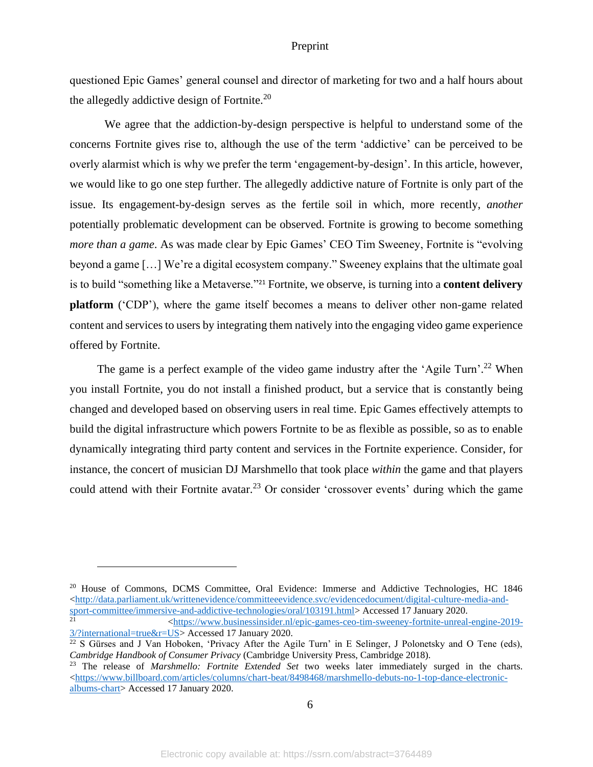questioned Epic Games' general counsel and director of marketing for two and a half hours about the allegedly addictive design of Fortnite.<sup>20</sup>

We agree that the addiction-by-design perspective is helpful to understand some of the concerns Fortnite gives rise to, although the use of the term 'addictive' can be perceived to be overly alarmist which is why we prefer the term 'engagement-by-design'. In this article, however, we would like to go one step further. The allegedly addictive nature of Fortnite is only part of the issue. Its engagement-by-design serves as the fertile soil in which, more recently, *another* potentially problematic development can be observed. Fortnite is growing to become something *more than a game.* As was made clear by Epic Games' CEO Tim Sweeney, Fortnite is "evolving" beyond a game […] We're a digital ecosystem company." Sweeney explains that the ultimate goal is to build "something like a Metaverse."<sup>21</sup> Fortnite, we observe, is turning into a **content delivery platform** ('CDP'), where the game itself becomes a means to deliver other non-game related content and services to users by integrating them natively into the engaging video game experience offered by Fortnite.

The game is a perfect example of the video game industry after the 'Agile Turn'.<sup>22</sup> When you install Fortnite, you do not install a finished product, but a service that is constantly being changed and developed based on observing users in real time. Epic Games effectively attempts to build the digital infrastructure which powers Fortnite to be as flexible as possible, so as to enable dynamically integrating third party content and services in the Fortnite experience. Consider, for instance, the concert of musician DJ Marshmello that took place *within* the game and that players could attend with their Fortnite avatar.<sup>23</sup> Or consider 'crossover events' during which the game

<sup>20</sup> House of Commons, DCMS Committee, Oral Evidence: Immerse and Addictive Technologies, HC 1846 [<http://data.parliament.uk/writtenevidence/committeeevidence.svc/evidencedocument/digital-culture-media-and](http://data.parliament.uk/writtenevidence/committeeevidence.svc/evidencedocument/digital-culture-media-and-sport-committee/immersive-and-addictive-technologies/oral/103191.html)[sport-committee/immersive-and-addictive-technologies/oral/103191.html>](http://data.parliament.uk/writtenevidence/committeeevidence.svc/evidencedocument/digital-culture-media-and-sport-committee/immersive-and-addictive-technologies/oral/103191.html) Accessed 17 January 2020.

<sup>21</sup> [<https://www.businessinsider.nl/epic-games-ceo-tim-sweeney-fortnite-unreal-engine-2019-](https://www.businessinsider.nl/epic-games-ceo-tim-sweeney-fortnite-unreal-engine-2019-3/?international=true&r=US) [3/?international=true&r=US>](https://www.businessinsider.nl/epic-games-ceo-tim-sweeney-fortnite-unreal-engine-2019-3/?international=true&r=US) Accessed 17 January 2020.

6

<sup>&</sup>lt;sup>22</sup> S Gürses and J Van Hoboken, 'Privacy After the Agile Turn' in E Selinger, J Polonetsky and O Tene (eds), *Cambridge Handbook of Consumer Privacy* (Cambridge University Press, Cambridge 2018).

<sup>23</sup> The release of *Marshmello: Fortnite Extended Set* two weeks later immediately surged in the charts.  $\langle$ https://www.billboard.com/articles/columns/chart-beat/8498468/marshmello-debuts-no-1-top-dance-electronic[albums-chart>](https://www.billboard.com/articles/columns/chart-beat/8498468/marshmello-debuts-no-1-top-dance-electronic-albums-chart) Accessed 17 January 2020.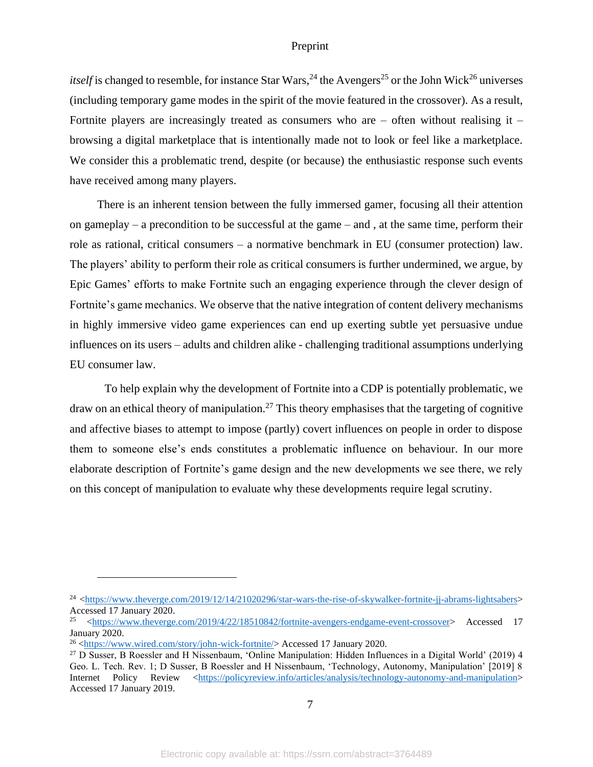*itself* is changed to resemble, for instance Star Wars,<sup>24</sup> the Avengers<sup>25</sup> or the John Wick<sup>26</sup> universes (including temporary game modes in the spirit of the movie featured in the crossover). As a result, Fortnite players are increasingly treated as consumers who are  $-$  often without realising it  $$ browsing a digital marketplace that is intentionally made not to look or feel like a marketplace. We consider this a problematic trend, despite (or because) the enthusiastic response such events have received among many players.

There is an inherent tension between the fully immersed gamer, focusing all their attention on gameplay – a precondition to be successful at the game – and, at the same time, perform their role as rational, critical consumers – a normative benchmark in EU (consumer protection) law. The players' ability to perform their role as critical consumers is further undermined, we argue, by Epic Games' efforts to make Fortnite such an engaging experience through the clever design of Fortnite's game mechanics. We observe that the native integration of content delivery mechanisms in highly immersive video game experiences can end up exerting subtle yet persuasive undue influences on its users – adults and children alike - challenging traditional assumptions underlying EU consumer law.

To help explain why the development of Fortnite into a CDP is potentially problematic, we draw on an ethical theory of manipulation.<sup>27</sup> This theory emphasises that the targeting of cognitive and affective biases to attempt to impose (partly) covert influences on people in order to dispose them to someone else's ends constitutes a problematic influence on behaviour. In our more elaborate description of Fortnite's game design and the new developments we see there, we rely on this concept of manipulation to evaluate why these developments require legal scrutiny.

<sup>&</sup>lt;sup>24</sup> [<https://www.theverge.com/2019/12/14/21020296/star-wars-the-rise-of-skywalker-fortnite-jj-abrams-lightsabers>](https://www.theverge.com/2019/12/14/21020296/star-wars-the-rise-of-skywalker-fortnite-jj-abrams-lightsabers) Accessed 17 January 2020.

<sup>25</sup> [<https://www.theverge.com/2019/4/22/18510842/fortnite-avengers-endgame-event-crossover>](https://www.theverge.com/2019/4/22/18510842/fortnite-avengers-endgame-event-crossover) Accessed 17 January 2020.

<sup>26</sup> [<https://www.wired.com/story/john-wick-fortnite/>](https://www.wired.com/story/john-wick-fortnite/) Accessed 17 January 2020.

<sup>27</sup> D Susser, B Roessler and H Nissenbaum, 'Online Manipulation: Hidden Influences in a Digital World' (2019) 4 Geo. L. Tech. Rev. 1; D Susser, B Roessler and H Nissenbaum, 'Technology, Autonomy, Manipulation' [2019] 8 Internet Policy Review [<https://policyreview.info/articles/analysis/technology-autonomy-and-manipulation>](https://policyreview.info/articles/analysis/technology-autonomy-and-manipulation) Accessed 17 January 2019.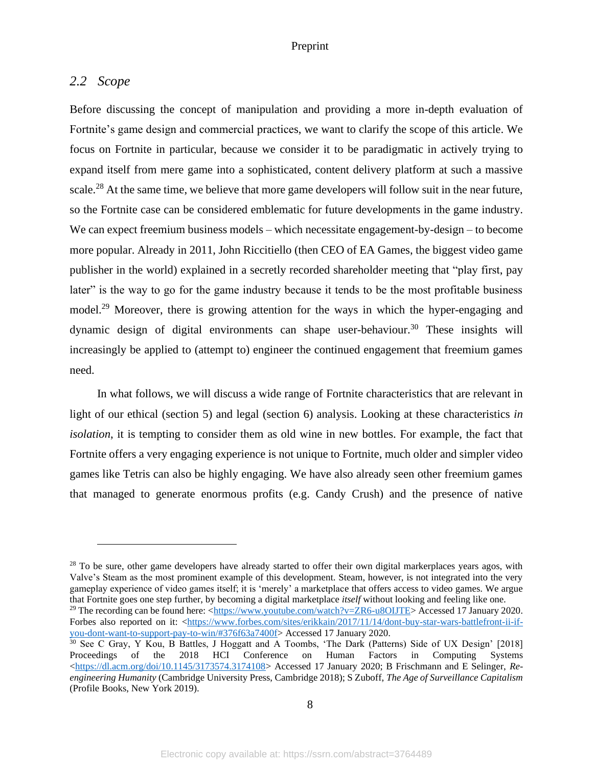### <span id="page-8-0"></span>*2.2 Scope*

Before discussing the concept of manipulation and providing a more in-depth evaluation of Fortnite's game design and commercial practices, we want to clarify the scope of this article. We focus on Fortnite in particular, because we consider it to be paradigmatic in actively trying to expand itself from mere game into a sophisticated, content delivery platform at such a massive scale.<sup>28</sup> At the same time, we believe that more game developers will follow suit in the near future, so the Fortnite case can be considered emblematic for future developments in the game industry. We can expect freemium business models – which necessitate engagement-by-design – to become more popular. Already in 2011, John Riccitiello (then CEO of EA Games, the biggest video game publisher in the world) explained in a secretly recorded shareholder meeting that "play first, pay later" is the way to go for the game industry because it tends to be the most profitable business model.<sup>29</sup> Moreover, there is growing attention for the ways in which the hyper-engaging and dynamic design of digital environments can shape user-behaviour. <sup>30</sup> These insights will increasingly be applied to (attempt to) engineer the continued engagement that freemium games need.

In what follows, we will discuss a wide range of Fortnite characteristics that are relevant in light of our ethical (section 5) and legal (section 6) analysis. Looking at these characteristics *in isolation*, it is tempting to consider them as old wine in new bottles. For example, the fact that Fortnite offers a very engaging experience is not unique to Fortnite, much older and simpler video games like Tetris can also be highly engaging. We have also already seen other freemium games that managed to generate enormous profits (e.g. Candy Crush) and the presence of native

 $28$  To be sure, other game developers have already started to offer their own digital markerplaces years agos, with Valve's Steam as the most prominent example of this development. Steam, however, is not integrated into the very gameplay experience of video games itself; it is 'merely' a marketplace that offers access to video games. We argue that Fortnite goes one step further, by becoming a digital marketplace *itself* without looking and feeling like one. <sup>29</sup> The recording can be found here:  $\langle$ https://www.youtube.com/watch?v=ZR6-u8OIJTE> Accessed 17 January 2020.

Forbes also reported on it: [<https://www.forbes.com/sites/erikkain/2017/11/14/dont-buy-star-wars-battlefront-ii-if](https://www.forbes.com/sites/erikkain/2017/11/14/dont-buy-star-wars-battlefront-ii-if-you-dont-want-to-support-pay-to-win/#376f63a7400f)[you-dont-want-to-support-pay-to-win/#376f63a7400f>](https://www.forbes.com/sites/erikkain/2017/11/14/dont-buy-star-wars-battlefront-ii-if-you-dont-want-to-support-pay-to-win/#376f63a7400f) Accessed 17 January 2020.

<sup>30</sup> See C Gray, Y Kou, B Battles, J Hoggatt and A Toombs, 'The Dark (Patterns) Side of UX Design' [2018] Proceedings of the 2018 HCI Conference on Human Factors in Computing Systems [<https://dl.acm.org/doi/10.1145/3173574.3174108>](https://dl.acm.org/doi/10.1145/3173574.3174108) Accessed 17 January 2020; B Frischmann and E Selinger, *Reengineering Humanity* (Cambridge University Press, Cambridge 2018); S Zuboff, *The Age of Surveillance Capitalism* (Profile Books, New York 2019).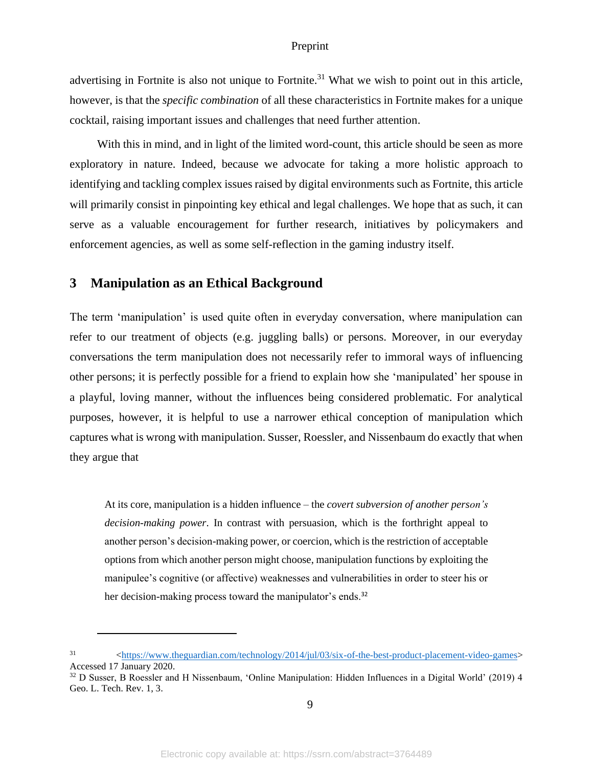advertising in Fortnite is also not unique to Fortnite.<sup>31</sup> What we wish to point out in this article, however, is that the *specific combination* of all these characteristics in Fortnite makes for a unique cocktail, raising important issues and challenges that need further attention.

With this in mind, and in light of the limited word-count, this article should be seen as more exploratory in nature. Indeed, because we advocate for taking a more holistic approach to identifying and tackling complex issues raised by digital environments such as Fortnite, this article will primarily consist in pinpointing key ethical and legal challenges. We hope that as such, it can serve as a valuable encouragement for further research, initiatives by policymakers and enforcement agencies, as well as some self-reflection in the gaming industry itself.

# <span id="page-9-0"></span>**3 Manipulation as an Ethical Background**

The term 'manipulation' is used quite often in everyday conversation, where manipulation can refer to our treatment of objects (e.g. juggling balls) or persons. Moreover, in our everyday conversations the term manipulation does not necessarily refer to immoral ways of influencing other persons; it is perfectly possible for a friend to explain how she 'manipulated' her spouse in a playful, loving manner, without the influences being considered problematic. For analytical purposes, however, it is helpful to use a narrower ethical conception of manipulation which captures what is wrong with manipulation. Susser, Roessler, and Nissenbaum do exactly that when they argue that

At its core, manipulation is a hidden influence – the *covert subversion of another person's decision-making power*. In contrast with persuasion, which is the forthright appeal to another person's decision-making power, or coercion, which is the restriction of acceptable options from which another person might choose, manipulation functions by exploiting the manipulee's cognitive (or affective) weaknesses and vulnerabilities in order to steer his or her decision-making process toward the manipulator's ends.<sup>32</sup>

<sup>31</sup> [<https://www.theguardian.com/technology/2014/jul/03/six-of-the-best-product-placement-video-games>](https://www.theguardian.com/technology/2014/jul/03/six-of-the-best-product-placement-video-games) Accessed 17 January 2020.

<sup>&</sup>lt;sup>32</sup> D Susser, B Roessler and H Nissenbaum, 'Online Manipulation: Hidden Influences in a Digital World' (2019) 4 Geo. L. Tech. Rev. 1, 3.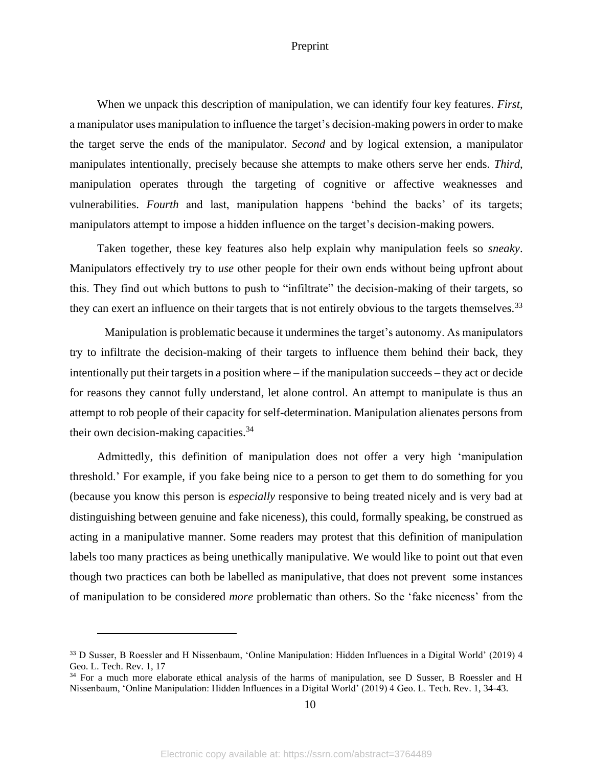When we unpack this description of manipulation, we can identify four key features. *First*, a manipulator uses manipulation to influence the target's decision-making powers in order to make the target serve the ends of the manipulator. *Second* and by logical extension, a manipulator manipulates intentionally, precisely because she attempts to make others serve her ends. *Third*, manipulation operates through the targeting of cognitive or affective weaknesses and vulnerabilities. *Fourth* and last, manipulation happens 'behind the backs' of its targets; manipulators attempt to impose a hidden influence on the target's decision-making powers.

Taken together, these key features also help explain why manipulation feels so *sneaky*. Manipulators effectively try to *use* other people for their own ends without being upfront about this. They find out which buttons to push to "infiltrate" the decision-making of their targets, so they can exert an influence on their targets that is not entirely obvious to the targets themselves.<sup>33</sup>

Manipulation is problematic because it undermines the target's autonomy. As manipulators try to infiltrate the decision-making of their targets to influence them behind their back, they intentionally put their targets in a position where – if the manipulation succeeds – they act or decide for reasons they cannot fully understand, let alone control. An attempt to manipulate is thus an attempt to rob people of their capacity for self-determination. Manipulation alienates persons from their own decision-making capacities. $34$ 

Admittedly, this definition of manipulation does not offer a very high 'manipulation threshold.' For example, if you fake being nice to a person to get them to do something for you (because you know this person is *especially* responsive to being treated nicely and is very bad at distinguishing between genuine and fake niceness), this could, formally speaking, be construed as acting in a manipulative manner. Some readers may protest that this definition of manipulation labels too many practices as being unethically manipulative. We would like to point out that even though two practices can both be labelled as manipulative, that does not prevent some instances of manipulation to be considered *more* problematic than others. So the 'fake niceness' from the

<sup>&</sup>lt;sup>33</sup> D Susser, B Roessler and H Nissenbaum, 'Online Manipulation: Hidden Influences in a Digital World' (2019) 4 Geo. L. Tech. Rev. 1, 17

<sup>&</sup>lt;sup>34</sup> For a much more elaborate ethical analysis of the harms of manipulation, see D Susser, B Roessler and H Nissenbaum, 'Online Manipulation: Hidden Influences in a Digital World' (2019) 4 Geo. L. Tech. Rev. 1, 34-43.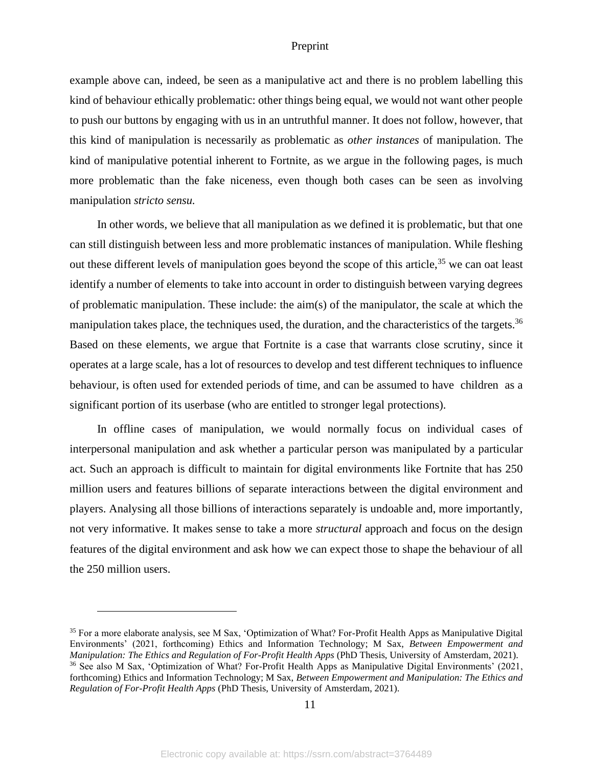example above can, indeed, be seen as a manipulative act and there is no problem labelling this kind of behaviour ethically problematic: other things being equal, we would not want other people to push our buttons by engaging with us in an untruthful manner. It does not follow, however, that this kind of manipulation is necessarily as problematic as *other instances* of manipulation. The kind of manipulative potential inherent to Fortnite, as we argue in the following pages, is much more problematic than the fake niceness, even though both cases can be seen as involving manipulation *stricto sensu.*

In other words, we believe that all manipulation as we defined it is problematic, but that one can still distinguish between less and more problematic instances of manipulation. While fleshing out these different levels of manipulation goes beyond the scope of this article,<sup>35</sup> we can oat least identify a number of elements to take into account in order to distinguish between varying degrees of problematic manipulation. These include: the aim(s) of the manipulator, the scale at which the manipulation takes place, the techniques used, the duration, and the characteristics of the targets.<sup>36</sup> Based on these elements, we argue that Fortnite is a case that warrants close scrutiny, since it operates at a large scale, has a lot of resources to develop and test different techniques to influence behaviour, is often used for extended periods of time, and can be assumed to have children as a significant portion of its userbase (who are entitled to stronger legal protections).

In offline cases of manipulation, we would normally focus on individual cases of interpersonal manipulation and ask whether a particular person was manipulated by a particular act. Such an approach is difficult to maintain for digital environments like Fortnite that has 250 million users and features billions of separate interactions between the digital environment and players. Analysing all those billions of interactions separately is undoable and, more importantly, not very informative. It makes sense to take a more *structural* approach and focus on the design features of the digital environment and ask how we can expect those to shape the behaviour of all the 250 million users.

11

<sup>35</sup> For a more elaborate analysis, see M Sax, 'Optimization of What? For-Profit Health Apps as Manipulative Digital Environments' (2021, forthcoming) Ethics and Information Technology; M Sax, *Between Empowerment and Manipulation: The Ethics and Regulation of For-Profit Health Apps* (PhD Thesis, University of Amsterdam, 2021). <sup>36</sup> See also M Sax, 'Optimization of What? For-Profit Health Apps as Manipulative Digital Environments' (2021, forthcoming) Ethics and Information Technology; M Sax, *Between Empowerment and Manipulation: The Ethics and Regulation of For-Profit Health Apps* (PhD Thesis, University of Amsterdam, 2021).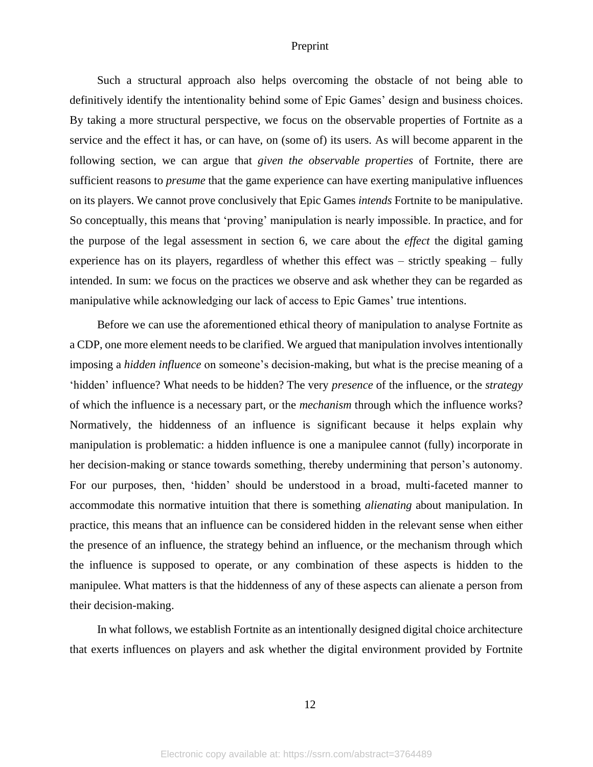Such a structural approach also helps overcoming the obstacle of not being able to definitively identify the intentionality behind some of Epic Games' design and business choices. By taking a more structural perspective, we focus on the observable properties of Fortnite as a service and the effect it has, or can have, on (some of) its users. As will become apparent in the following section, we can argue that *given the observable properties* of Fortnite, there are sufficient reasons to *presume* that the game experience can have exerting manipulative influences on its players. We cannot prove conclusively that Epic Games *intends* Fortnite to be manipulative. So conceptually, this means that 'proving' manipulation is nearly impossible. In practice, and for the purpose of the legal assessment in section 6, we care about the *effect* the digital gaming experience has on its players, regardless of whether this effect was – strictly speaking – fully intended. In sum: we focus on the practices we observe and ask whether they can be regarded as manipulative while acknowledging our lack of access to Epic Games' true intentions.

Before we can use the aforementioned ethical theory of manipulation to analyse Fortnite as a CDP, one more element needs to be clarified. We argued that manipulation involves intentionally imposing a *hidden influence* on someone's decision-making, but what is the precise meaning of a 'hidden' influence? What needs to be hidden? The very *presence* of the influence, or the *strategy* of which the influence is a necessary part, or the *mechanism* through which the influence works? Normatively, the hiddenness of an influence is significant because it helps explain why manipulation is problematic: a hidden influence is one a manipulee cannot (fully) incorporate in her decision-making or stance towards something, thereby undermining that person's autonomy. For our purposes, then, 'hidden' should be understood in a broad, multi-faceted manner to accommodate this normative intuition that there is something *alienating* about manipulation. In practice, this means that an influence can be considered hidden in the relevant sense when either the presence of an influence, the strategy behind an influence, or the mechanism through which the influence is supposed to operate, or any combination of these aspects is hidden to the manipulee. What matters is that the hiddenness of any of these aspects can alienate a person from their decision-making.

In what follows, we establish Fortnite as an intentionally designed digital choice architecture that exerts influences on players and ask whether the digital environment provided by Fortnite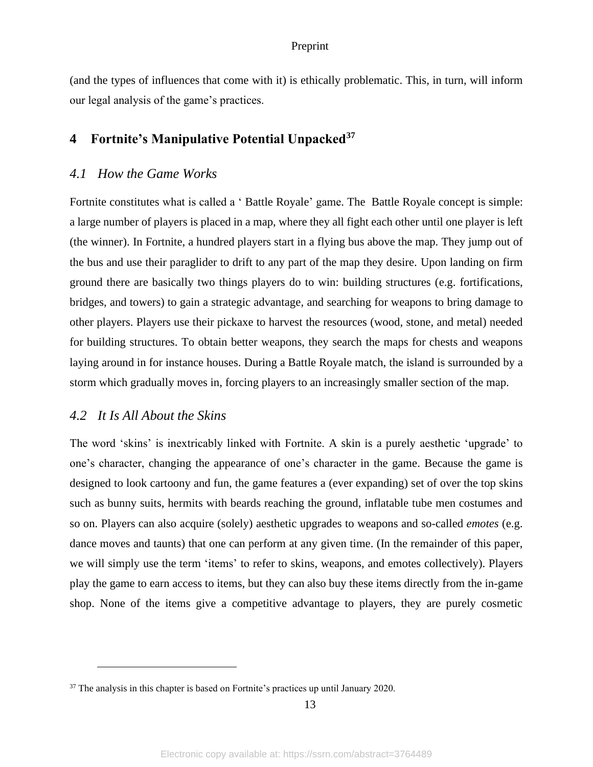(and the types of influences that come with it) is ethically problematic. This, in turn, will inform our legal analysis of the game's practices.

# <span id="page-13-0"></span>**4 Fortnite's Manipulative Potential Unpacked<sup>37</sup>**

### <span id="page-13-1"></span>*4.1 How the Game Works*

Fortnite constitutes what is called a ' Battle Royale' game. The Battle Royale concept is simple: a large number of players is placed in a map, where they all fight each other until one player is left (the winner). In Fortnite, a hundred players start in a flying bus above the map. They jump out of the bus and use their paraglider to drift to any part of the map they desire. Upon landing on firm ground there are basically two things players do to win: building structures (e.g. fortifications, bridges, and towers) to gain a strategic advantage, and searching for weapons to bring damage to other players. Players use their pickaxe to harvest the resources (wood, stone, and metal) needed for building structures. To obtain better weapons, they search the maps for chests and weapons laying around in for instance houses. During a Battle Royale match, the island is surrounded by a storm which gradually moves in, forcing players to an increasingly smaller section of the map.

# <span id="page-13-2"></span>*4.2 It Is All About the Skins*

The word 'skins' is inextricably linked with Fortnite. A skin is a purely aesthetic 'upgrade' to one's character, changing the appearance of one's character in the game. Because the game is designed to look cartoony and fun, the game features a (ever expanding) set of over the top skins such as bunny suits, hermits with beards reaching the ground, inflatable tube men costumes and so on. Players can also acquire (solely) aesthetic upgrades to weapons and so-called *emotes* (e.g. dance moves and taunts) that one can perform at any given time. (In the remainder of this paper, we will simply use the term 'items' to refer to skins, weapons, and emotes collectively). Players play the game to earn access to items, but they can also buy these items directly from the in-game shop. None of the items give a competitive advantage to players, they are purely cosmetic

<sup>&</sup>lt;sup>37</sup> The analysis in this chapter is based on Fortnite's practices up until January 2020.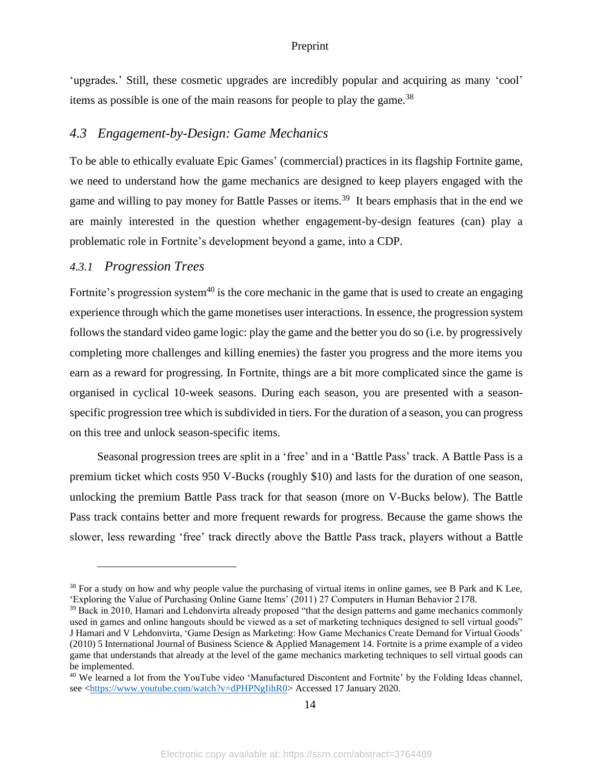'upgrades.' Still, these cosmetic upgrades are incredibly popular and acquiring as many 'cool' items as possible is one of the main reasons for people to play the game.<sup>38</sup>

### <span id="page-14-0"></span>*4.3 Engagement-by-Design: Game Mechanics*

To be able to ethically evaluate Epic Games' (commercial) practices in its flagship Fortnite game, we need to understand how the game mechanics are designed to keep players engaged with the game and willing to pay money for Battle Passes or items.<sup>39</sup> It bears emphasis that in the end we are mainly interested in the question whether engagement-by-design features (can) play a problematic role in Fortnite's development beyond a game, into a CDP.

### <span id="page-14-1"></span>*4.3.1 Progression Trees*

Fortnite's progression system $40$  is the core mechanic in the game that is used to create an engaging experience through which the game monetises user interactions. In essence, the progression system follows the standard video game logic: play the game and the better you do so (i.e. by progressively completing more challenges and killing enemies) the faster you progress and the more items you earn as a reward for progressing. In Fortnite, things are a bit more complicated since the game is organised in cyclical 10-week seasons. During each season, you are presented with a seasonspecific progression tree which is subdivided in tiers. For the duration of a season, you can progress on this tree and unlock season-specific items.

Seasonal progression trees are split in a 'free' and in a 'Battle Pass' track. A Battle Pass is a premium ticket which costs 950 V-Bucks (roughly \$10) and lasts for the duration of one season, unlocking the premium Battle Pass track for that season (more on V-Bucks below). The Battle Pass track contains better and more frequent rewards for progress. Because the game shows the slower, less rewarding 'free' track directly above the Battle Pass track, players without a Battle

<sup>&</sup>lt;sup>38</sup> For a study on how and why people value the purchasing of virtual items in online games, see B Park and K Lee, 'Exploring the Value of Purchasing Online Game Items' (2011) 27 Computers in Human Behavior 2178.

<sup>&</sup>lt;sup>39</sup> Back in 2010, Hamari and Lehdonvirta already proposed "that the design patterns and game mechanics commonly used in games and online hangouts should be viewed as a set of marketing techniques designed to sell virtual goods" J Hamari and V Lehdonvirta, 'Game Design as Marketing: How Game Mechanics Create Demand for Virtual Goods' (2010) 5 International Journal of Business Science & Applied Management 14. Fortnite is a prime example of a video game that understands that already at the level of the game mechanics marketing techniques to sell virtual goods can be implemented.

<sup>&</sup>lt;sup>40</sup> We learned a lot from the YouTube video 'Manufactured Discontent and Fortnite' by the Folding Ideas channel, see [<https://www.youtube.com/watch?v=dPHPNgIihR0>](https://www.youtube.com/watch?v=dPHPNgIihR0) Accessed 17 January 2020.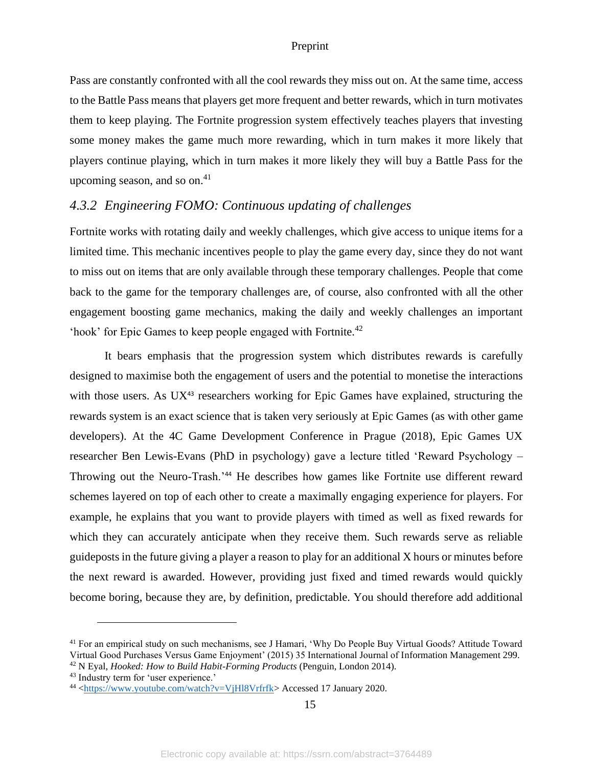Pass are constantly confronted with all the cool rewards they miss out on. At the same time, access to the Battle Pass means that players get more frequent and better rewards, which in turn motivates them to keep playing. The Fortnite progression system effectively teaches players that investing some money makes the game much more rewarding, which in turn makes it more likely that players continue playing, which in turn makes it more likely they will buy a Battle Pass for the upcoming season, and so on. 41

## <span id="page-15-0"></span>*4.3.2 Engineering FOMO: Continuous updating of challenges*

Fortnite works with rotating daily and weekly challenges, which give access to unique items for a limited time. This mechanic incentives people to play the game every day, since they do not want to miss out on items that are only available through these temporary challenges. People that come back to the game for the temporary challenges are, of course, also confronted with all the other engagement boosting game mechanics, making the daily and weekly challenges an important 'hook' for Epic Games to keep people engaged with Fortnite.<sup>42</sup>

It bears emphasis that the progression system which distributes rewards is carefully designed to maximise both the engagement of users and the potential to monetise the interactions with those users. As  $UX^{43}$  researchers working for Epic Games have explained, structuring the rewards system is an exact science that is taken very seriously at Epic Games (as with other game developers). At the 4C Game Development Conference in Prague (2018), Epic Games UX researcher Ben Lewis-Evans (PhD in psychology) gave a lecture titled 'Reward Psychology – Throwing out the Neuro-Trash.'<sup>44</sup> He describes how games like Fortnite use different reward schemes layered on top of each other to create a maximally engaging experience for players. For example, he explains that you want to provide players with timed as well as fixed rewards for which they can accurately anticipate when they receive them. Such rewards serve as reliable guideposts in the future giving a player a reason to play for an additional X hours or minutes before the next reward is awarded. However, providing just fixed and timed rewards would quickly become boring, because they are, by definition, predictable. You should therefore add additional

<sup>41</sup> For an empirical study on such mechanisms, see J Hamari, 'Why Do People Buy Virtual Goods? Attitude Toward Virtual Good Purchases Versus Game Enjoyment' (2015) 35 International Journal of Information Management 299. <sup>42</sup> N Eyal, *Hooked: How to Build Habit-Forming Products* (Penguin, London 2014).

<sup>43</sup> Industry term for 'user experience.'

<sup>44</sup> [<https://www.youtube.com/watch?v=VjHl8Vrfrfk>](https://www.youtube.com/watch?v=VjHl8Vrfrfk) Accessed 17 January 2020.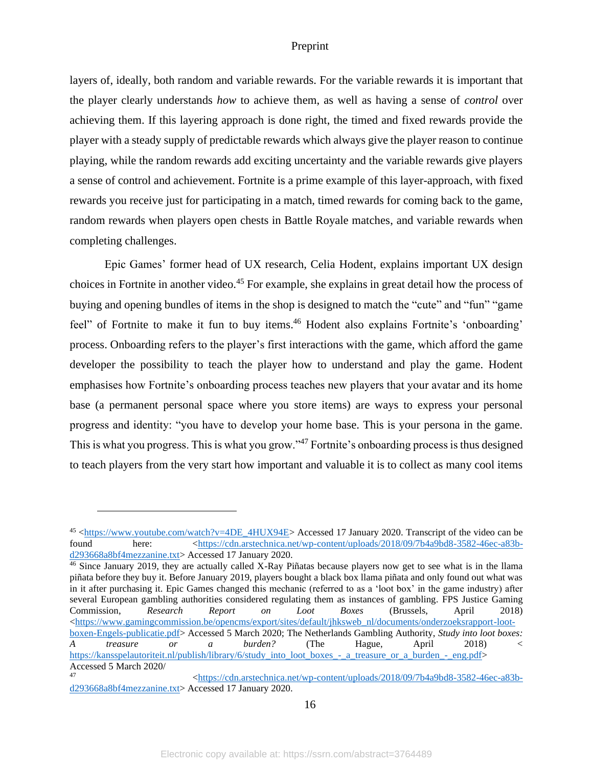layers of, ideally, both random and variable rewards. For the variable rewards it is important that the player clearly understands *how* to achieve them, as well as having a sense of *control* over achieving them. If this layering approach is done right, the timed and fixed rewards provide the player with a steady supply of predictable rewards which always give the player reason to continue playing, while the random rewards add exciting uncertainty and the variable rewards give players a sense of control and achievement. Fortnite is a prime example of this layer-approach, with fixed rewards you receive just for participating in a match, timed rewards for coming back to the game, random rewards when players open chests in Battle Royale matches, and variable rewards when completing challenges.

Epic Games' former head of UX research, Celia Hodent, explains important UX design choices in Fortnite in another video. <sup>45</sup> For example, she explains in great detail how the process of buying and opening bundles of items in the shop is designed to match the "cute" and "fun" "game feel" of Fortnite to make it fun to buy items.<sup>46</sup> Hodent also explains Fortnite's 'onboarding' process. Onboarding refers to the player's first interactions with the game, which afford the game developer the possibility to teach the player how to understand and play the game. Hodent emphasises how Fortnite's onboarding process teaches new players that your avatar and its home base (a permanent personal space where you store items) are ways to express your personal progress and identity: "you have to develop your home base. This is your persona in the game. This is what you progress. This is what you grow."<sup>47</sup> Fortnite's onboarding process is thus designed to teach players from the very start how important and valuable it is to collect as many cool items

<sup>46</sup> Since January 2019, they are actually called X-Ray Piñatas because players now get to see what is in the llama piñata before they buy it. Before January 2019, players bought a black box llama piñata and only found out what was in it after purchasing it. Epic Games changed this mechanic (referred to as a 'loot box' in the game industry) after several European gambling authorities considered regulating them as instances of gambling. FPS Justice Gaming Commission, *Research Report on Loot Boxes* (Brussels, April 2018)  $\lt$ https://www.gamingcommission.be/opencms/export/sites/default/jhksweb\_nl/documents/onderzoeksrapport-loot[boxen-Engels-publicatie.pdf>](https://www.gamingcommission.be/opencms/export/sites/default/jhksweb_nl/documents/onderzoeksrapport-loot-boxen-Engels-publicatie.pdf) Accessed 5 March 2020; The Netherlands Gambling Authority, *Study into loot boxes: A treasure or a burden?* (The Hague, April 2018) < [https://kansspelautoriteit.nl/publish/library/6/study\\_into\\_loot\\_boxes\\_-\\_a\\_treasure\\_or\\_a\\_burden\\_-\\_eng.pdf>](https://kansspelautoriteit.nl/publish/library/6/study_into_loot_boxes_-_a_treasure_or_a_burden_-_eng.pdf) Accessed 5 March 2020/

16

 $45 \leftarrow \frac{\text{https://www.youtube.com/watch?v=4DE_4HUX94E> Accessed 17 January 2020. Transcript of the video can be   
there: <a href="https://cdn.arstechnica.net/wp-content/uploads/2018/09/7b4a9bd8-3582-46ec-a83b-4622-8482-462-842-462-842-462-482-462-482-462-482-462-482-462-482-462-482-462-482-462-482-462-482-462-482-462-48</math>$ found here:  $\langle \frac{https://cdn.arstechnica.net/wp-content/uploads/2018/09/7b4a9bd8-3582-46ec-a83b-12562-2560}{\rangle}$ [d293668a8bf4mezzanine.txt>](https://cdn.arstechnica.net/wp-content/uploads/2018/09/7b4a9bd8-3582-46ec-a83b-d293668a8bf4mezzanine.txt) Accessed 17 January 2020.

<sup>47</sup> [<https://cdn.arstechnica.net/wp-content/uploads/2018/09/7b4a9bd8-3582-46ec-a83b](https://cdn.arstechnica.net/wp-content/uploads/2018/09/7b4a9bd8-3582-46ec-a83b-d293668a8bf4mezzanine.txt)[d293668a8bf4mezzanine.txt>](https://cdn.arstechnica.net/wp-content/uploads/2018/09/7b4a9bd8-3582-46ec-a83b-d293668a8bf4mezzanine.txt) Accessed 17 January 2020.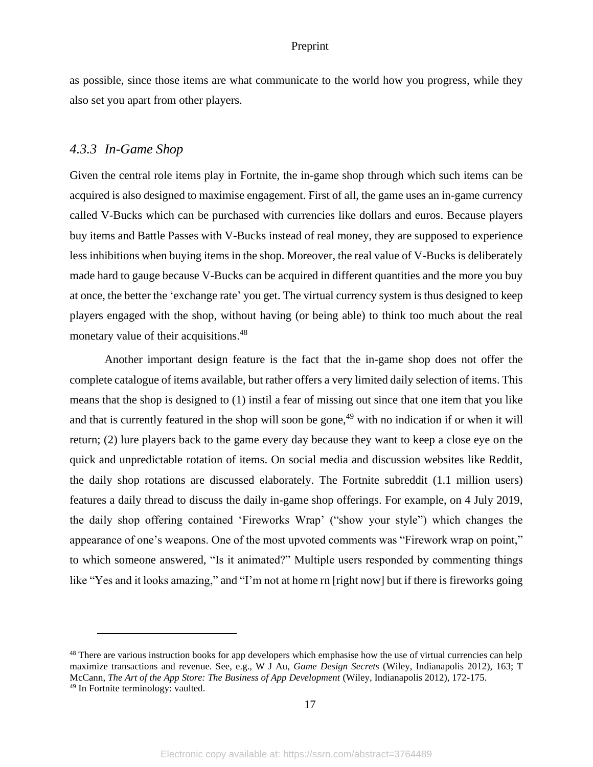as possible, since those items are what communicate to the world how you progress, while they also set you apart from other players.

### <span id="page-17-0"></span>*4.3.3 In-Game Shop*

Given the central role items play in Fortnite, the in-game shop through which such items can be acquired is also designed to maximise engagement. First of all, the game uses an in-game currency called V-Bucks which can be purchased with currencies like dollars and euros. Because players buy items and Battle Passes with V-Bucks instead of real money, they are supposed to experience less inhibitions when buying items in the shop. Moreover, the real value of V-Bucks is deliberately made hard to gauge because V-Bucks can be acquired in different quantities and the more you buy at once, the better the 'exchange rate' you get. The virtual currency system is thus designed to keep players engaged with the shop, without having (or being able) to think too much about the real monetary value of their acquisitions.<sup>48</sup>

Another important design feature is the fact that the in-game shop does not offer the complete catalogue of items available, but rather offers a very limited daily selection of items. This means that the shop is designed to (1) instil a fear of missing out since that one item that you like and that is currently featured in the shop will soon be gone,<sup>49</sup> with no indication if or when it will return; (2) lure players back to the game every day because they want to keep a close eye on the quick and unpredictable rotation of items. On social media and discussion websites like Reddit, the daily shop rotations are discussed elaborately. The Fortnite subreddit (1.1 million users) features a daily thread to discuss the daily in-game shop offerings. For example, on 4 July 2019, the daily shop offering contained 'Fireworks Wrap' ("show your style") which changes the appearance of one's weapons. One of the most upvoted comments was "Firework wrap on point," to which someone answered, "Is it animated?" Multiple users responded by commenting things like "Yes and it looks amazing," and "I'm not at home rn [right now] but if there is fireworks going

<sup>&</sup>lt;sup>48</sup> There are various instruction books for app developers which emphasise how the use of virtual currencies can help maximize transactions and revenue. See, e.g., W J Au, *Game Design Secrets* (Wiley, Indianapolis 2012), 163; T McCann, *The Art of the App Store: The Business of App Development* (Wiley, Indianapolis 2012), 172-175. <sup>49</sup> In Fortnite terminology: vaulted.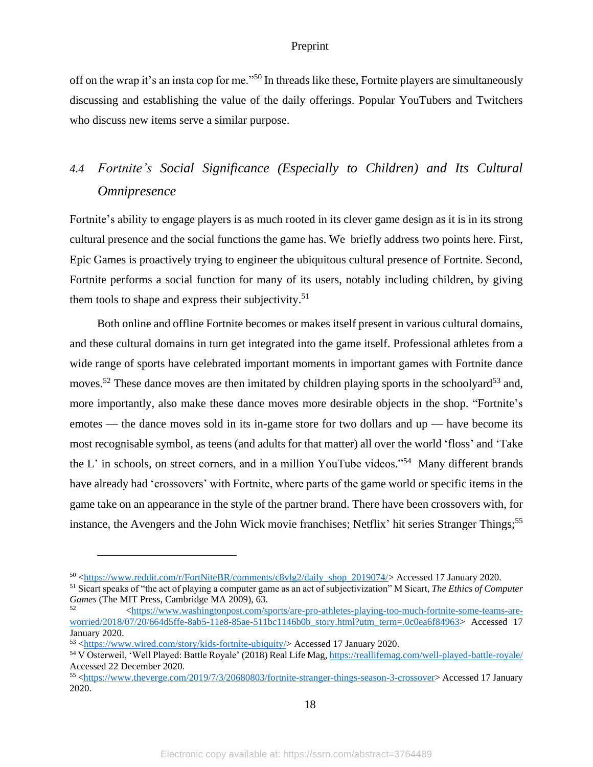off on the wrap it's an insta cop for me."<sup>50</sup> In threads like these, Fortnite players are simultaneously discussing and establishing the value of the daily offerings. Popular YouTubers and Twitchers who discuss new items serve a similar purpose.

# <span id="page-18-0"></span>*4.4 Fortnite's Social Significance (Especially to Children) and Its Cultural Omnipresence*

Fortnite's ability to engage players is as much rooted in its clever game design as it is in its strong cultural presence and the social functions the game has. We briefly address two points here. First, Epic Games is proactively trying to engineer the ubiquitous cultural presence of Fortnite. Second, Fortnite performs a social function for many of its users, notably including children, by giving them tools to shape and express their subjectivity.<sup>51</sup>

Both online and offline Fortnite becomes or makes itself present in various cultural domains, and these cultural domains in turn get integrated into the game itself. Professional athletes from a wide range of sports have celebrated important moments in important games with Fortnite dance moves.<sup>52</sup> These dance moves are then imitated by children playing sports in the schoolyard<sup>53</sup> and, more importantly, also make these dance moves more desirable objects in the shop. "Fortnite's emotes — the dance moves sold in its in-game store for two dollars and up — have become its most recognisable symbol, as teens (and adults for that matter) all over the world 'floss' and 'Take the L' in schools, on street corners, and in a million YouTube videos."<sup>54</sup> Many different brands have already had 'crossovers' with Fortnite, where parts of the game world or specific items in the game take on an appearance in the style of the partner brand. There have been crossovers with, for instance, the Avengers and the John Wick movie franchises; Netflix' hit series Stranger Things;<sup>55</sup>

18

<sup>50</sup> [<https://www.reddit.com/r/FortNiteBR/comments/c8vlg2/daily\\_shop\\_2019074/>](https://www.reddit.com/r/FortNiteBR/comments/c8vlg2/daily_shop_2019074/) Accessed 17 January 2020.

<sup>51</sup> Sicart speaks of "the act of playing a computer game as an act of subjectivization" M Sicart, *The Ethics of Computer Games* (The MIT Press, Cambridge MA 2009), 63.

<sup>52</sup> [<https://www.washingtonpost.com/sports/are-pro-athletes-playing-too-much-fortnite-some-teams-are](https://www.washingtonpost.com/sports/are-pro-athletes-playing-too-much-fortnite-some-teams-are-worried/2018/07/20/664d5ffe-8ab5-11e8-85ae-511bc1146b0b_story.html?utm_term=.0c0ea6f84963)[worried/2018/07/20/664d5ffe-8ab5-11e8-85ae-511bc1146b0b\\_story.html?utm\\_term=.0c0ea6f84963>](https://www.washingtonpost.com/sports/are-pro-athletes-playing-too-much-fortnite-some-teams-are-worried/2018/07/20/664d5ffe-8ab5-11e8-85ae-511bc1146b0b_story.html?utm_term=.0c0ea6f84963)\_Accessed 17 January 2020.

<sup>53</sup> [<https://www.wired.com/story/kids-fortnite-ubiquity/>](https://www.wired.com/story/kids-fortnite-ubiquity/) Accessed 17 January 2020.

<sup>54</sup> V Osterweil, 'Well Played: Battle Royale' (2018) Real Life Mag[, https://reallifemag.com/well-played-battle-royale/](https://reallifemag.com/well-played-battle-royale/) Accessed 22 December 2020.

<sup>55</sup> [<https://www.theverge.com/2019/7/3/20680803/fortnite-stranger-things-season-3-crossover>](https://www.theverge.com/2019/7/3/20680803/fortnite-stranger-things-season-3-crossover) Accessed 17 January 2020.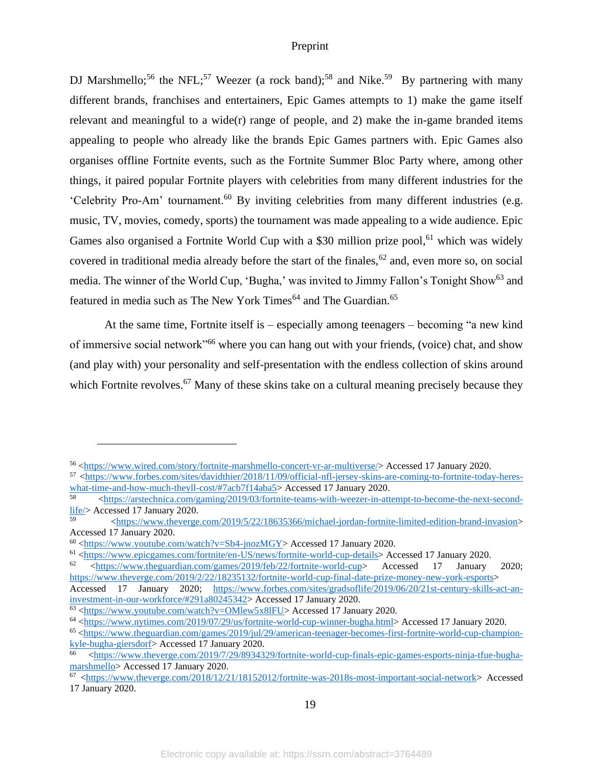DJ Marshmello;<sup>56</sup> the NFL;<sup>57</sup> Weezer (a rock band);<sup>58</sup> and Nike.<sup>59</sup> By partnering with many different brands, franchises and entertainers, Epic Games attempts to 1) make the game itself relevant and meaningful to a wide(r) range of people, and 2) make the in-game branded items appealing to people who already like the brands Epic Games partners with. Epic Games also organises offline Fortnite events, such as the Fortnite Summer Bloc Party where, among other things, it paired popular Fortnite players with celebrities from many different industries for the 'Celebrity Pro-Am' tournament.<sup>60</sup> By inviting celebrities from many different industries (e.g. music, TV, movies, comedy, sports) the tournament was made appealing to a wide audience. Epic Games also organised a Fortnite World Cup with a \$30 million prize pool,<sup>61</sup> which was widely covered in traditional media already before the start of the finales,  $62$  and, even more so, on social media. The winner of the World Cup, 'Bugha,' was invited to Jimmy Fallon's Tonight Show<sup>63</sup> and featured in media such as The New York Times<sup>64</sup> and The Guardian.<sup>65</sup>

At the same time, Fortnite itself is – especially among teenagers – becoming "a new kind of immersive social network<sup>"66</sup> where you can hang out with your friends, (voice) chat, and show (and play with) your personality and self-presentation with the endless collection of skins around which Fortnite revolves.<sup>67</sup> Many of these skins take on a cultural meaning precisely because they

19

<sup>56</sup> [<https://www.wired.com/story/fortnite-marshmello-concert-vr-ar-multiverse/>](https://www.wired.com/story/fortnite-marshmello-concert-vr-ar-multiverse/) Accessed 17 January 2020.

<sup>57</sup> [<https://www.forbes.com/sites/davidthier/2018/11/09/official-nfl-jersey-skins-are-coming-to-fortnite-today-heres](https://www.forbes.com/sites/davidthier/2018/11/09/official-nfl-jersey-skins-are-coming-to-fortnite-today-heres-what-time-and-how-much-theyll-cost/#7acb7f14aba5)[what-time-and-how-much-theyll-cost/#7acb7f14aba5>](https://www.forbes.com/sites/davidthier/2018/11/09/official-nfl-jersey-skins-are-coming-to-fortnite-today-heres-what-time-and-how-much-theyll-cost/#7acb7f14aba5) Accessed 17 January 2020.

<sup>58</sup> [<https://arstechnica.com/gaming/2019/03/fortnite-teams-with-weezer-in-attempt-to-become-the-next-second](https://arstechnica.com/gaming/2019/03/fortnite-teams-with-weezer-in-attempt-to-become-the-next-second-life/)[life/>](https://arstechnica.com/gaming/2019/03/fortnite-teams-with-weezer-in-attempt-to-become-the-next-second-life/) Accessed 17 January 2020.

<sup>59</sup> [<https://www.theverge.com/2019/5/22/18635366/michael-jordan-fortnite-limited-edition-brand-invasion>](https://www.theverge.com/2019/5/22/18635366/michael-jordan-fortnite-limited-edition-brand-invasion) Accessed 17 January 2020.

<sup>60</sup> [<https://www.youtube.com/watch?v=Sb4-jnozMGY>](https://www.youtube.com/watch?v=Sb4-jnozMGY) Accessed 17 January 2020.

<sup>61</sup> [<https://www.epicgames.com/fortnite/en-US/news/fortnite-world-cup-details>](https://www.epicgames.com/fortnite/en-US/news/fortnite-world-cup-details) Accessed 17 January 2020.

<sup>62</sup> [<https://www.theguardian.com/games/2019/feb/22/fortnite-world-cup>](https://www.theguardian.com/games/2019/feb/22/fortnite-world-cup) Accessed 17 January 2020; [https://www.theverge.com/2019/2/22/18235132/fortnite-world-cup-final-date-prize-money-new-york-esports>](https://www.theverge.com/2019/2/22/18235132/fortnite-world-cup-final-date-prize-money-new-york-esports)

Accessed 17 January 2020; [https://www.forbes.com/sites/gradsoflife/2019/06/20/21st-century-skills-act-an](https://www.forbes.com/sites/gradsoflife/2019/06/20/21st-century-skills-act-an-investment-in-our-workforce/#291a80245342)[investment-in-our-workforce/#291a80245342>](https://www.forbes.com/sites/gradsoflife/2019/06/20/21st-century-skills-act-an-investment-in-our-workforce/#291a80245342) Accessed 17 January 2020.

<sup>63</sup> [<https://www.youtube.com/watch?v=OMlew5x8lFU>](https://www.youtube.com/watch?v=OMlew5x8lFU) Accessed 17 January 2020.

<sup>64</sup> [<https://www.nytimes.com/2019/07/29/us/fortnite-world-cup-winner-bugha.html>](https://www.nytimes.com/2019/07/29/us/fortnite-world-cup-winner-bugha.html) Accessed 17 January 2020.

<sup>65</sup> [<https://www.theguardian.com/games/2019/jul/29/american-teenager-becomes-first-fortnite-world-cup-champion](https://www.theguardian.com/games/2019/jul/29/american-teenager-becomes-first-fortnite-world-cup-champion-kyle-bugha-giersdorf)[kyle-bugha-giersdorf>](https://www.theguardian.com/games/2019/jul/29/american-teenager-becomes-first-fortnite-world-cup-champion-kyle-bugha-giersdorf) Accessed 17 January 2020.

 $\text{66}$  [<https://www.theverge.com/2019/7/29/8934329/fortnite-world-cup-finals-epic-games-esports-ninja-tfue-bugha](https://www.theverge.com/2019/7/29/8934329/fortnite-world-cup-finals-epic-games-esports-ninja-tfue-bugha-marshmello)[marshmello>](https://www.theverge.com/2019/7/29/8934329/fortnite-world-cup-finals-epic-games-esports-ninja-tfue-bugha-marshmello) Accessed 17 January 2020.

 $\frac{67 \text{ <https://www.theverge.com/2018/12/21/18152012/fortrite-was-2018s-most-important-social-network> **Accessed**$ 17 January 2020.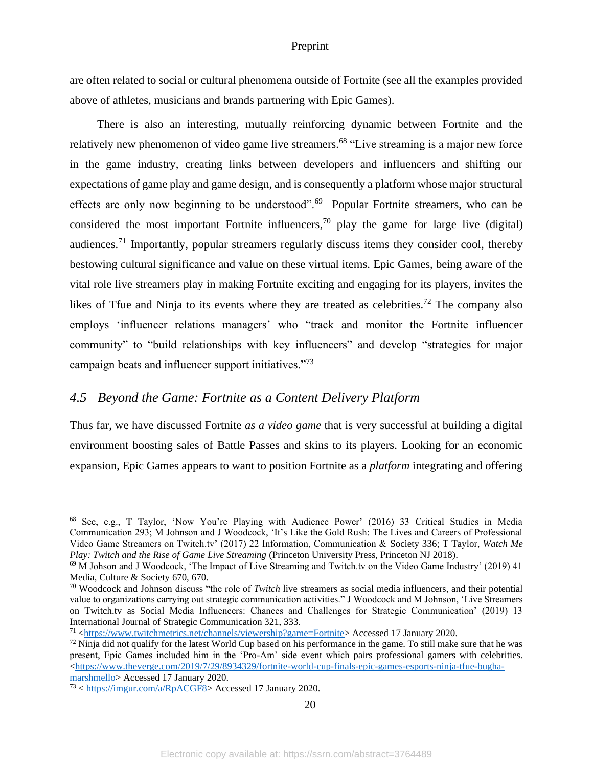are often related to social or cultural phenomena outside of Fortnite (see all the examples provided above of athletes, musicians and brands partnering with Epic Games).

There is also an interesting, mutually reinforcing dynamic between Fortnite and the relatively new phenomenon of video game live streamers.<sup>68</sup> "Live streaming is a major new force in the game industry, creating links between developers and influencers and shifting our expectations of game play and game design, and is consequently a platform whose major structural effects are only now beginning to be understood".<sup>69</sup> Popular Fortnite streamers, who can be considered the most important Fortnite influencers,<sup>70</sup> play the game for large live (digital) audiences.<sup>71</sup> Importantly, popular streamers regularly discuss items they consider cool, thereby bestowing cultural significance and value on these virtual items. Epic Games, being aware of the vital role live streamers play in making Fortnite exciting and engaging for its players, invites the likes of Tfue and Ninja to its events where they are treated as celebrities.<sup>72</sup> The company also employs 'influencer relations managers' who "track and monitor the Fortnite influencer community" to "build relationships with key influencers" and develop "strategies for major campaign beats and influencer support initiatives."<sup>73</sup>

### <span id="page-20-0"></span>*4.5 Beyond the Game: Fortnite as a Content Delivery Platform*

Thus far, we have discussed Fortnite *as a video game* that is very successful at building a digital environment boosting sales of Battle Passes and skins to its players. Looking for an economic expansion, Epic Games appears to want to position Fortnite as a *platform* integrating and offering

<sup>68</sup> See, e.g., T Taylor, 'Now You're Playing with Audience Power' (2016) 33 Critical Studies in Media Communication 293; M Johnson and J Woodcock, 'It's Like the Gold Rush: The Lives and Careers of Professional Video Game Streamers on Twitch.tv' (2017) 22 Information, Communication & Society 336; T Taylor, *Watch Me Play: Twitch and the Rise of Game Live Streaming* (Princeton University Press, Princeton NJ 2018).

<sup>69</sup> M Johson and J Woodcock, 'The Impact of Live Streaming and Twitch.tv on the Video Game Industry' (2019) 41 Media, Culture & Society 670, 670.

<sup>70</sup> Woodcock and Johnson discuss "the role of *Twitch* live streamers as social media influencers, and their potential value to organizations carrying out strategic communication activities." J Woodcock and M Johnson, 'Live Streamers on Twitch.tv as Social Media Influencers: Chances and Challenges for Strategic Communication' (2019) 13 International Journal of Strategic Communication 321, 333.

<sup>71</sup> [<https://www.twitchmetrics.net/channels/viewership?game=Fortnite>](https://www.twitchmetrics.net/channels/viewership?game=Fortnite) Accessed 17 January 2020.

 $72$  Ninja did not qualify for the latest World Cup based on his performance in the game. To still make sure that he was present, Epic Games included him in the 'Pro-Am' side event which pairs professional gamers with celebrities. [<https://www.theverge.com/2019/7/29/8934329/fortnite-world-cup-finals-epic-games-esports-ninja-tfue-bugha](https://www.theverge.com/2019/7/29/8934329/fortnite-world-cup-finals-epic-games-esports-ninja-tfue-bugha-marshmello)[marshmello>](https://www.theverge.com/2019/7/29/8934329/fortnite-world-cup-finals-epic-games-esports-ninja-tfue-bugha-marshmello) Accessed 17 January 2020.

<sup>73</sup> < https://imgur.com/a/RpACGF8> Accessed 17 January 2020.

<sup>20</sup>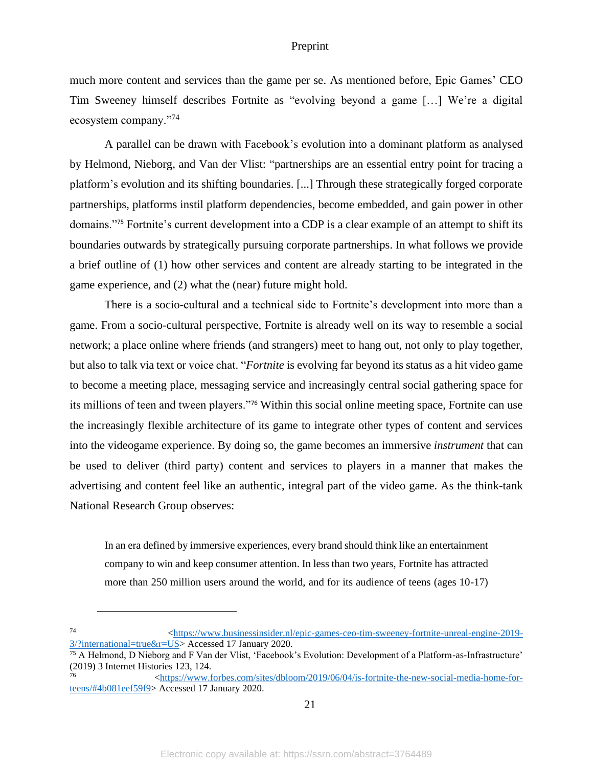much more content and services than the game per se. As mentioned before, Epic Games' CEO Tim Sweeney himself describes Fortnite as "evolving beyond a game […] We're a digital ecosystem company."<sup>74</sup>

A parallel can be drawn with Facebook's evolution into a dominant platform as analysed by Helmond, Nieborg, and Van der Vlist: "partnerships are an essential entry point for tracing a platform's evolution and its shifting boundaries. [...] Through these strategically forged corporate partnerships, platforms instil platform dependencies, become embedded, and gain power in other domains."<sup>75</sup> Fortnite's current development into a CDP is a clear example of an attempt to shift its boundaries outwards by strategically pursuing corporate partnerships. In what follows we provide a brief outline of (1) how other services and content are already starting to be integrated in the game experience, and (2) what the (near) future might hold.

There is a socio-cultural and a technical side to Fortnite's development into more than a game. From a socio-cultural perspective, Fortnite is already well on its way to resemble a social network; a place online where friends (and strangers) meet to hang out, not only to play together, but also to talk via text or voice chat. "*Fortnite* is evolving far beyond its status as a hit video game to become a meeting place, messaging service and increasingly central social gathering space for its millions of teen and tween players."<sup>76</sup> Within this social online meeting space, Fortnite can use the increasingly flexible architecture of its game to integrate other types of content and services into the videogame experience. By doing so, the game becomes an immersive *instrument* that can be used to deliver (third party) content and services to players in a manner that makes the advertising and content feel like an authentic, integral part of the video game. As the think-tank National Research Group observes:

In an era defined by immersive experiences, every brand should think like an entertainment company to win and keep consumer attention. In less than two years, Fortnite has attracted more than 250 million users around the world, and for its audience of teens (ages 10-17)

<sup>74</sup> [<https://www.businessinsider.nl/epic-games-ceo-tim-sweeney-fortnite-unreal-engine-2019-](https://www.businessinsider.nl/epic-games-ceo-tim-sweeney-fortnite-unreal-engine-2019-3/?international=true&r=US) [3/?international=true&r=US>](https://www.businessinsider.nl/epic-games-ceo-tim-sweeney-fortnite-unreal-engine-2019-3/?international=true&r=US) Accessed 17 January 2020.

<sup>75</sup> A Helmond, D Nieborg and F Van der Vlist, 'Facebook's Evolution: Development of a Platform-as-Infrastructure' (2019) 3 Internet Histories 123, 124.

<sup>76</sup> [<https://www.forbes.com/sites/dbloom/2019/06/04/is-fortnite-the-new-social-media-home-for](https://www.forbes.com/sites/dbloom/2019/06/04/is-fortnite-the-new-social-media-home-for-teens/#4b081eef59f9)[teens/#4b081eef59f9>](https://www.forbes.com/sites/dbloom/2019/06/04/is-fortnite-the-new-social-media-home-for-teens/#4b081eef59f9) Accessed 17 January 2020.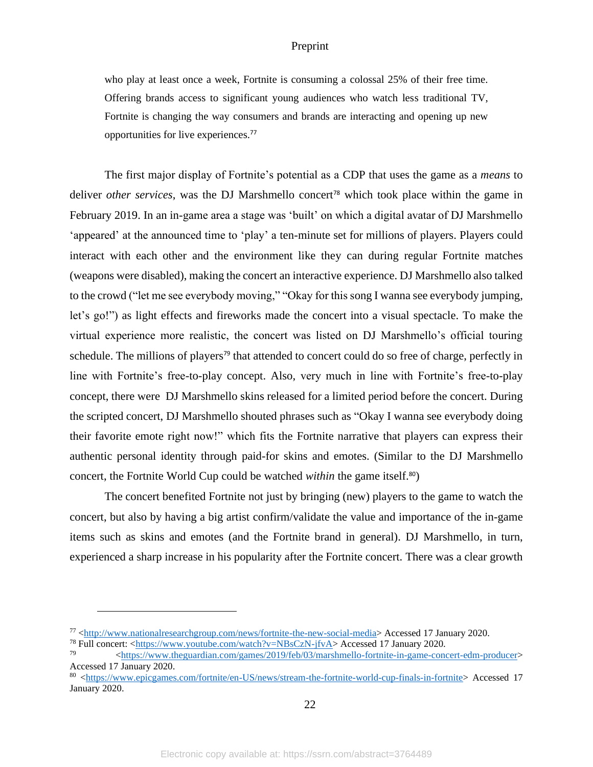who play at least once a week, Fortnite is consuming a colossal 25% of their free time. Offering brands access to significant young audiences who watch less traditional TV, Fortnite is changing the way consumers and brands are interacting and opening up new opportunities for live experiences.<sup>77</sup>

The first major display of Fortnite's potential as a CDP that uses the game as a *means* to deliver *other services*, was the DJ Marshmello concert<sup>78</sup> which took place within the game in February 2019. In an in-game area a stage was 'built' on which a digital avatar of DJ Marshmello 'appeared' at the announced time to 'play' a ten-minute set for millions of players. Players could interact with each other and the environment like they can during regular Fortnite matches (weapons were disabled), making the concert an interactive experience. DJ Marshmello also talked to the crowd ("let me see everybody moving," "Okay for this song I wanna see everybody jumping, let's go!") as light effects and fireworks made the concert into a visual spectacle. To make the virtual experience more realistic, the concert was listed on DJ Marshmello's official touring schedule. The millions of players<sup>79</sup> that attended to concert could do so free of charge, perfectly in line with Fortnite's free-to-play concept. Also, very much in line with Fortnite's free-to-play concept, there were DJ Marshmello skins released for a limited period before the concert. During the scripted concert, DJ Marshmello shouted phrases such as "Okay I wanna see everybody doing their favorite emote right now!" which fits the Fortnite narrative that players can express their authentic personal identity through paid-for skins and emotes. (Similar to the DJ Marshmello concert, the Fortnite World Cup could be watched *within* the game itself.80)

The concert benefited Fortnite not just by bringing (new) players to the game to watch the concert, but also by having a big artist confirm/validate the value and importance of the in-game items such as skins and emotes (and the Fortnite brand in general). DJ Marshmello, in turn, experienced a sharp increase in his popularity after the Fortnite concert. There was a clear growth

<sup>77</sup> [<http://www.nationalresearchgroup.com/news/fortnite-the-new-social-media>](http://www.nationalresearchgroup.com/news/fortnite-the-new-social-media) Accessed 17 January 2020.

<sup>78</sup> Full concert: [<https://www.youtube.com/watch?v=NBsCzN-jfvA>](https://www.youtube.com/watch?v=NBsCzN-jfvA) Accessed 17 January 2020.

<sup>79</sup> [<https://www.theguardian.com/games/2019/feb/03/marshmello-fortnite-in-game-concert-edm-producer>](https://www.theguardian.com/games/2019/feb/03/marshmello-fortnite-in-game-concert-edm-producer) Accessed 17 January 2020.

<sup>80</sup> [<https://www.epicgames.com/fortnite/en-US/news/stream-the-fortnite-world-cup-finals-in-fortnite>](https://www.epicgames.com/fortnite/en-US/news/stream-the-fortnite-world-cup-finals-in-fortnite) Accessed 17 January 2020.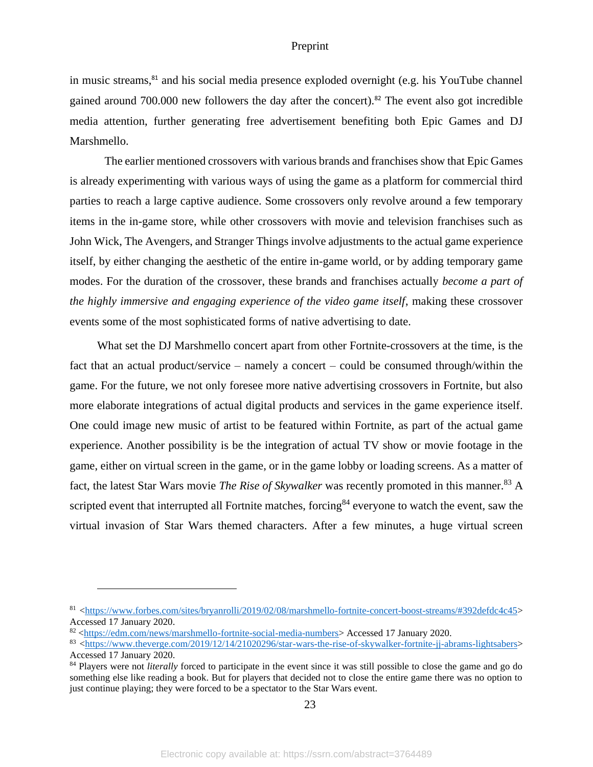in music streams,<sup>81</sup> and his social media presence exploded overnight (e.g. his YouTube channel gained around 700.000 new followers the day after the concert). <sup>82</sup> The event also got incredible media attention, further generating free advertisement benefiting both Epic Games and DJ Marshmello.

The earlier mentioned crossovers with various brands and franchises show that Epic Games is already experimenting with various ways of using the game as a platform for commercial third parties to reach a large captive audience. Some crossovers only revolve around a few temporary items in the in-game store, while other crossovers with movie and television franchises such as John Wick, The Avengers, and Stranger Things involve adjustments to the actual game experience itself, by either changing the aesthetic of the entire in-game world, or by adding temporary game modes. For the duration of the crossover, these brands and franchises actually *become a part of the highly immersive and engaging experience of the video game itself*, making these crossover events some of the most sophisticated forms of native advertising to date.

What set the DJ Marshmello concert apart from other Fortnite-crossovers at the time, is the fact that an actual product/service – namely a concert – could be consumed through/within the game. For the future, we not only foresee more native advertising crossovers in Fortnite, but also more elaborate integrations of actual digital products and services in the game experience itself. One could image new music of artist to be featured within Fortnite, as part of the actual game experience. Another possibility is be the integration of actual TV show or movie footage in the game, either on virtual screen in the game, or in the game lobby or loading screens. As a matter of fact, the latest Star Wars movie *The Rise of Skywalker* was recently promoted in this manner.<sup>83</sup> A scripted event that interrupted all Fortnite matches, forcing<sup>84</sup> everyone to watch the event, saw the virtual invasion of Star Wars themed characters. After a few minutes, a huge virtual screen

<sup>81</sup> [<https://www.forbes.com/sites/bryanrolli/2019/02/08/marshmello-fortnite-concert-boost-streams/#392defdc4c45>](https://www.forbes.com/sites/bryanrolli/2019/02/08/marshmello-fortnite-concert-boost-streams/#392defdc4c45) Accessed 17 January 2020.

<sup>82</sup> [<https://edm.com/news/marshmello-fortnite-social-media-numbers>](https://edm.com/news/marshmello-fortnite-social-media-numbers) Accessed 17 January 2020.

<sup>83</sup> [<https://www.theverge.com/2019/12/14/21020296/star-wars-the-rise-of-skywalker-fortnite-jj-abrams-lightsabers>](https://www.theverge.com/2019/12/14/21020296/star-wars-the-rise-of-skywalker-fortnite-jj-abrams-lightsabers) Accessed 17 January 2020.

<sup>&</sup>lt;sup>84</sup> Players were not *literally* forced to participate in the event since it was still possible to close the game and go do something else like reading a book. But for players that decided not to close the entire game there was no option to just continue playing; they were forced to be a spectator to the Star Wars event.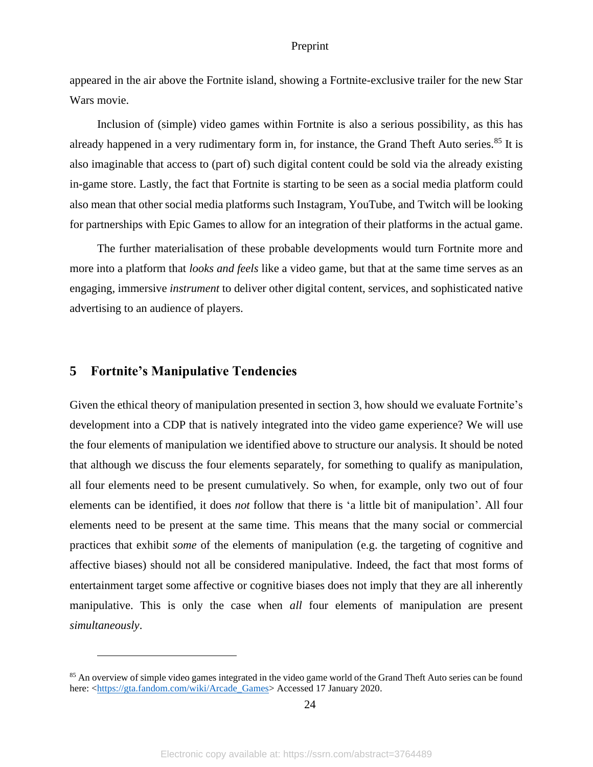appeared in the air above the Fortnite island, showing a Fortnite-exclusive trailer for the new Star Wars movie.

Inclusion of (simple) video games within Fortnite is also a serious possibility, as this has already happened in a very rudimentary form in, for instance, the Grand Theft Auto series.<sup>85</sup> It is also imaginable that access to (part of) such digital content could be sold via the already existing in-game store. Lastly, the fact that Fortnite is starting to be seen as a social media platform could also mean that other social media platforms such Instagram, YouTube, and Twitch will be looking for partnerships with Epic Games to allow for an integration of their platforms in the actual game.

The further materialisation of these probable developments would turn Fortnite more and more into a platform that *looks and feels* like a video game, but that at the same time serves as an engaging, immersive *instrument* to deliver other digital content, services, and sophisticated native advertising to an audience of players.

### <span id="page-24-0"></span>**5 Fortnite's Manipulative Tendencies**

Given the ethical theory of manipulation presented in section 3, how should we evaluate Fortnite's development into a CDP that is natively integrated into the video game experience? We will use the four elements of manipulation we identified above to structure our analysis. It should be noted that although we discuss the four elements separately, for something to qualify as manipulation, all four elements need to be present cumulatively. So when, for example, only two out of four elements can be identified, it does *not* follow that there is 'a little bit of manipulation'. All four elements need to be present at the same time. This means that the many social or commercial practices that exhibit *some* of the elements of manipulation (e.g. the targeting of cognitive and affective biases) should not all be considered manipulative. Indeed, the fact that most forms of entertainment target some affective or cognitive biases does not imply that they are all inherently manipulative. This is only the case when *all* four elements of manipulation are present *simultaneously*.

24

<sup>&</sup>lt;sup>85</sup> An overview of simple video games integrated in the video game world of the Grand Theft Auto series can be found here: [<https://gta.fandom.com/wiki/Arcade\\_Games>](https://gta.fandom.com/wiki/Arcade_Games) Accessed 17 January 2020.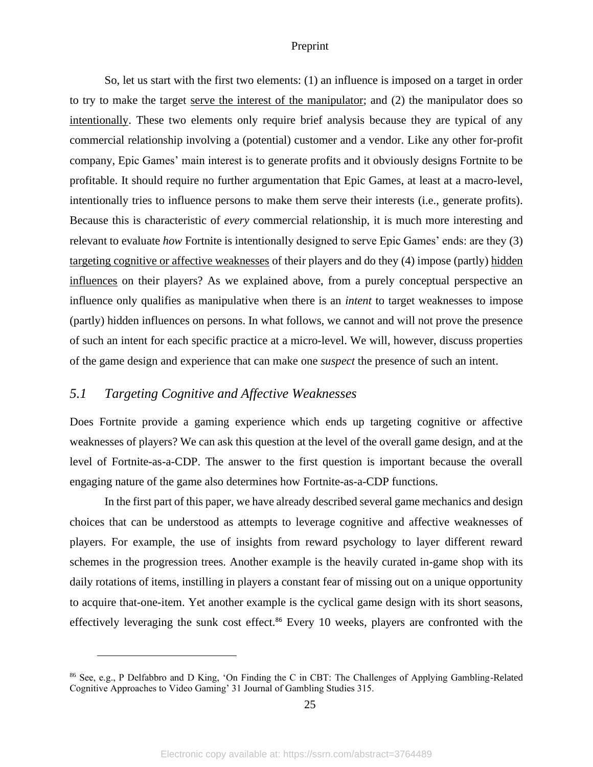So, let us start with the first two elements: (1) an influence is imposed on a target in order to try to make the target serve the interest of the manipulator; and (2) the manipulator does so intentionally. These two elements only require brief analysis because they are typical of any commercial relationship involving a (potential) customer and a vendor. Like any other for-profit company, Epic Games' main interest is to generate profits and it obviously designs Fortnite to be profitable. It should require no further argumentation that Epic Games, at least at a macro-level, intentionally tries to influence persons to make them serve their interests (i.e., generate profits). Because this is characteristic of *every* commercial relationship, it is much more interesting and relevant to evaluate *how* Fortnite is intentionally designed to serve Epic Games' ends: are they (3) targeting cognitive or affective weaknesses of their players and do they (4) impose (partly) hidden influences on their players? As we explained above, from a purely conceptual perspective an influence only qualifies as manipulative when there is an *intent* to target weaknesses to impose (partly) hidden influences on persons. In what follows, we cannot and will not prove the presence of such an intent for each specific practice at a micro-level. We will, however, discuss properties of the game design and experience that can make one *suspect* the presence of such an intent.

### <span id="page-25-0"></span>*5.1 Targeting Cognitive and Affective Weaknesses*

Does Fortnite provide a gaming experience which ends up targeting cognitive or affective weaknesses of players? We can ask this question at the level of the overall game design, and at the level of Fortnite-as-a-CDP. The answer to the first question is important because the overall engaging nature of the game also determines how Fortnite-as-a-CDP functions.

In the first part of this paper, we have already described several game mechanics and design choices that can be understood as attempts to leverage cognitive and affective weaknesses of players. For example, the use of insights from reward psychology to layer different reward schemes in the progression trees. Another example is the heavily curated in-game shop with its daily rotations of items, instilling in players a constant fear of missing out on a unique opportunity to acquire that-one-item. Yet another example is the cyclical game design with its short seasons, effectively leveraging the sunk cost effect.<sup>86</sup> Every 10 weeks, players are confronted with the

<sup>86</sup> See, e.g., P Delfabbro and D King, 'On Finding the C in CBT: The Challenges of Applying Gambling-Related Cognitive Approaches to Video Gaming' 31 Journal of Gambling Studies 315.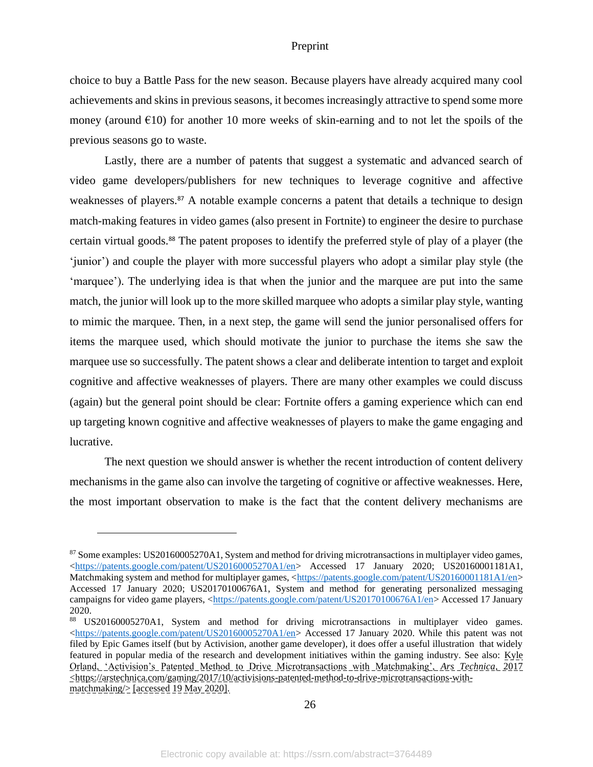choice to buy a Battle Pass for the new season. Because players have already acquired many cool achievements and skins in previous seasons, it becomes increasingly attractive to spend some more money (around  $\epsilon$ 10) for another 10 more weeks of skin-earning and to not let the spoils of the previous seasons go to waste.

Lastly, there are a number of patents that suggest a systematic and advanced search of video game developers/publishers for new techniques to leverage cognitive and affective weaknesses of players.<sup>87</sup> A notable example concerns a patent that details a technique to design match-making features in video games (also present in Fortnite) to engineer the desire to purchase certain virtual goods. <sup>88</sup> The patent proposes to identify the preferred style of play of a player (the 'junior') and couple the player with more successful players who adopt a similar play style (the 'marquee'). The underlying idea is that when the junior and the marquee are put into the same match, the junior will look up to the more skilled marquee who adopts a similar play style, wanting to mimic the marquee. Then, in a next step, the game will send the junior personalised offers for items the marquee used, which should motivate the junior to purchase the items she saw the marquee use so successfully. The patent shows a clear and deliberate intention to target and exploit cognitive and affective weaknesses of players. There are many other examples we could discuss (again) but the general point should be clear: Fortnite offers a gaming experience which can end up targeting known cognitive and affective weaknesses of players to make the game engaging and lucrative.

The next question we should answer is whether the recent introduction of content delivery mechanisms in the game also can involve the targeting of cognitive or affective weaknesses. Here, the most important observation to make is the fact that the content delivery mechanisms are

26

<sup>87</sup> Some examples: US20160005270A1, System and method for driving microtransactions in multiplayer video games, [<https://patents.google.com/patent/US20160005270A1/en>](https://patents.google.com/patent/US20160005270A1/en) Accessed 17 January 2020; US20160001181A1, Matchmaking system and method for multiplayer games, [<https://patents.google.com/patent/US20160001181A1/en>](https://patents.google.com/patent/US20160001181A1/en) Accessed 17 January 2020; US20170100676A1, System and method for generating personalized messaging campaigns for video game players, [<https://patents.google.com/patent/US20170100676A1/en>](https://patents.google.com/patent/US20170100676A1/en) Accessed 17 January 2020.

<sup>88</sup> US20160005270A1, System and method for driving microtransactions in multiplayer video games. [<https://patents.google.com/patent/US20160005270A1/en>](https://patents.google.com/patent/US20160005270A1/en) Accessed 17 January 2020. While this patent was not filed by Epic Games itself (but by Activision, another game developer), it does offer a useful illustration that widely featured in popular media of the research and development initiatives within the gaming industry. See also: Kyle Orland, 'Activision's Patented Method to Drive Microtransactions with Matchmaking', *Ars Technica*, 2017 <https://arstechnica.com/gaming/2017/10/activisions-patented-method-to-drive-microtransactions-withmatchmaking $\ge$  [accessed 19 May 2020].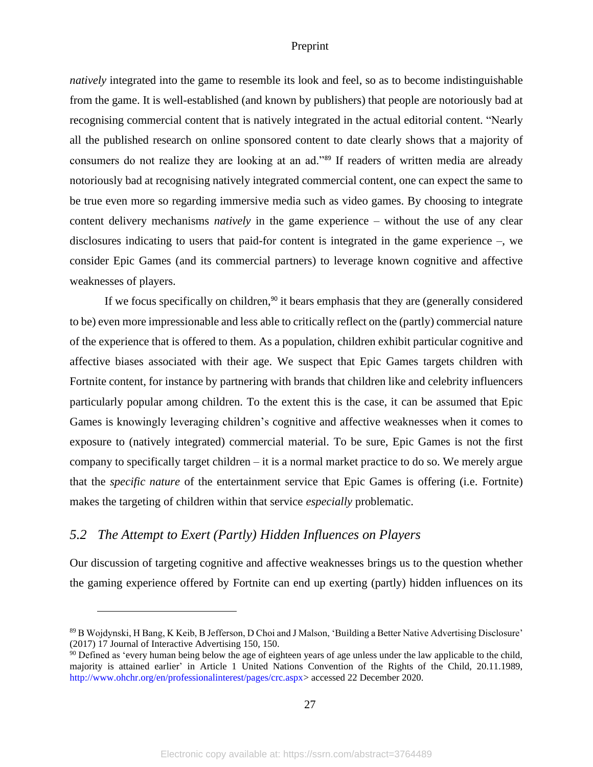*natively* integrated into the game to resemble its look and feel, so as to become indistinguishable from the game. It is well-established (and known by publishers) that people are notoriously bad at recognising commercial content that is natively integrated in the actual editorial content. "Nearly all the published research on online sponsored content to date clearly shows that a majority of consumers do not realize they are looking at an ad."<sup>89</sup> If readers of written media are already notoriously bad at recognising natively integrated commercial content, one can expect the same to be true even more so regarding immersive media such as video games. By choosing to integrate content delivery mechanisms *natively* in the game experience – without the use of any clear disclosures indicating to users that paid-for content is integrated in the game experience –, we consider Epic Games (and its commercial partners) to leverage known cognitive and affective weaknesses of players.

If we focus specifically on children,<sup>90</sup> it bears emphasis that they are (generally considered to be) even more impressionable and less able to critically reflect on the (partly) commercial nature of the experience that is offered to them. As a population, children exhibit particular cognitive and affective biases associated with their age. We suspect that Epic Games targets children with Fortnite content, for instance by partnering with brands that children like and celebrity influencers particularly popular among children. To the extent this is the case, it can be assumed that Epic Games is knowingly leveraging children's cognitive and affective weaknesses when it comes to exposure to (natively integrated) commercial material. To be sure, Epic Games is not the first company to specifically target children – it is a normal market practice to do so. We merely argue that the *specific nature* of the entertainment service that Epic Games is offering (i.e. Fortnite) makes the targeting of children within that service *especially* problematic.

### <span id="page-27-0"></span>*5.2 The Attempt to Exert (Partly) Hidden Influences on Players*

Our discussion of targeting cognitive and affective weaknesses brings us to the question whether the gaming experience offered by Fortnite can end up exerting (partly) hidden influences on its

<sup>89</sup> B Wojdynski, H Bang, K Keib, B Jefferson, D Choi and J Malson, 'Building a Better Native Advertising Disclosure' (2017) 17 Journal of Interactive Advertising 150, 150.

<sup>&</sup>lt;sup>90</sup> Defined as 'every human being below the age of eighteen years of age unless under the law applicable to the child, majority is attained earlier' in Article 1 United Nations Convention of the Rights of the Child, 20.11.1989, http://www.ohchr.org/en/professionalinterest/pages/crc.aspx> accessed 22 December 2020.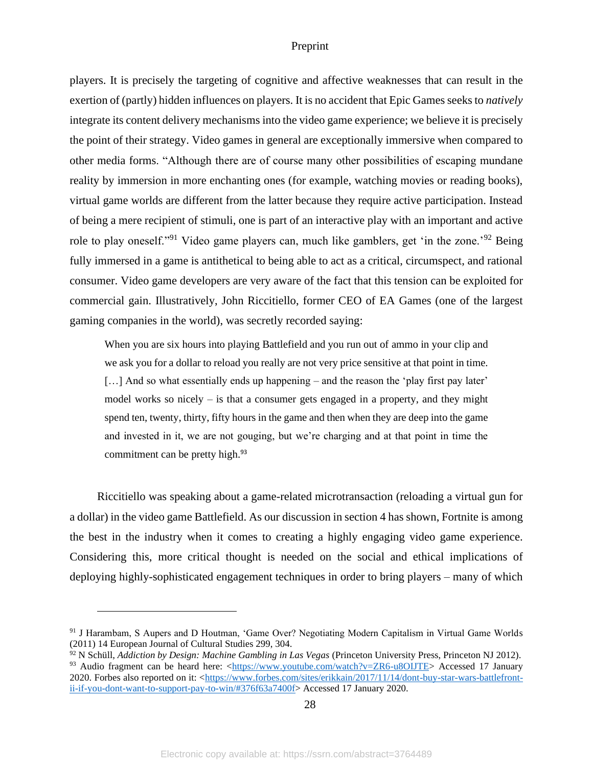players. It is precisely the targeting of cognitive and affective weaknesses that can result in the exertion of (partly) hidden influences on players. It is no accident that Epic Games seeks to *natively* integrate its content delivery mechanisms into the video game experience; we believe it is precisely the point of their strategy. Video games in general are exceptionally immersive when compared to other media forms. "Although there are of course many other possibilities of escaping mundane reality by immersion in more enchanting ones (for example, watching movies or reading books), virtual game worlds are different from the latter because they require active participation. Instead of being a mere recipient of stimuli, one is part of an interactive play with an important and active role to play oneself."<sup>91</sup> Video game players can, much like gamblers, get 'in the zone.<sup>'92</sup> Being fully immersed in a game is antithetical to being able to act as a critical, circumspect, and rational consumer. Video game developers are very aware of the fact that this tension can be exploited for commercial gain. Illustratively, John Riccitiello, former CEO of EA Games (one of the largest gaming companies in the world), was secretly recorded saying:

When you are six hours into playing Battlefield and you run out of ammo in your clip and we ask you for a dollar to reload you really are not very price sensitive at that point in time. [...] And so what essentially ends up happening – and the reason the 'play first pay later' model works so nicely – is that a consumer gets engaged in a property, and they might spend ten, twenty, thirty, fifty hours in the game and then when they are deep into the game and invested in it, we are not gouging, but we're charging and at that point in time the commitment can be pretty high.<sup>93</sup>

Riccitiello was speaking about a game-related microtransaction (reloading a virtual gun for a dollar) in the video game Battlefield. As our discussion in section 4 has shown, Fortnite is among the best in the industry when it comes to creating a highly engaging video game experience. Considering this, more critical thought is needed on the social and ethical implications of deploying highly-sophisticated engagement techniques in order to bring players – many of which

<sup>&</sup>lt;sup>91</sup> J Harambam, S Aupers and D Houtman, 'Game Over? Negotiating Modern Capitalism in Virtual Game Worlds (2011) 14 European Journal of Cultural Studies 299, 304.

<sup>92</sup> N Schüll, *Addiction by Design: Machine Gambling in Las Vegas* (Princeton University Press, Princeton NJ 2012).

<sup>93</sup> Audio fragment can be heard here: [<https://www.youtube.com/watch?v=ZR6-u8OIJTE>](https://www.youtube.com/watch?v=ZR6-u8OIJTE) Accessed 17 January 2020. Forbes also reported on it: [<https://www.forbes.com/sites/erikkain/2017/11/14/dont-buy-star-wars-battlefront](https://www.forbes.com/sites/erikkain/2017/11/14/dont-buy-star-wars-battlefront-ii-if-you-dont-want-to-support-pay-to-win/#376f63a7400f)[ii-if-you-dont-want-to-support-pay-to-win/#376f63a7400f>](https://www.forbes.com/sites/erikkain/2017/11/14/dont-buy-star-wars-battlefront-ii-if-you-dont-want-to-support-pay-to-win/#376f63a7400f) Accessed 17 January 2020.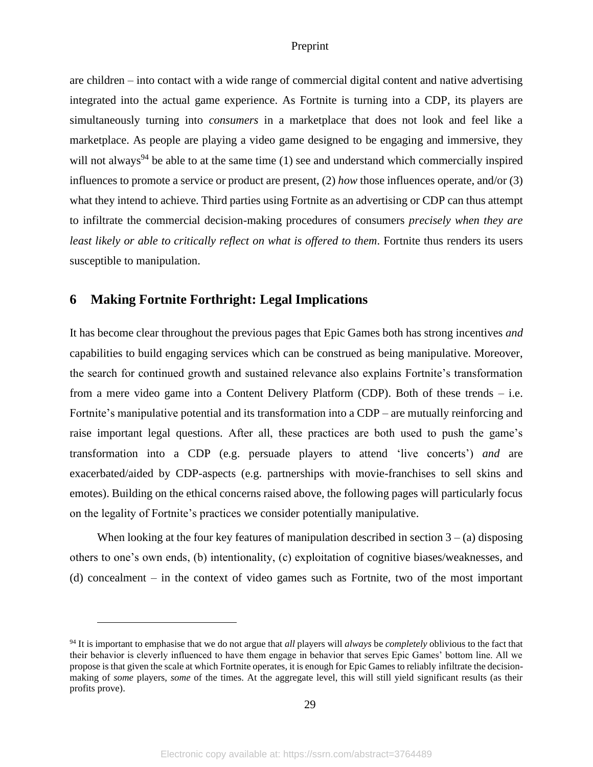are children – into contact with a wide range of commercial digital content and native advertising integrated into the actual game experience. As Fortnite is turning into a CDP, its players are simultaneously turning into *consumers* in a marketplace that does not look and feel like a marketplace. As people are playing a video game designed to be engaging and immersive, they will not always<sup>94</sup> be able to at the same time  $(1)$  see and understand which commercially inspired influences to promote a service or product are present, (2) *how* those influences operate, and/or (3) what they intend to achieve. Third parties using Fortnite as an advertising or CDP can thus attempt to infiltrate the commercial decision-making procedures of consumers *precisely when they are least likely or able to critically reflect on what is offered to them*. Fortnite thus renders its users susceptible to manipulation.

# <span id="page-29-0"></span>**6 Making Fortnite Forthright: Legal Implications**

It has become clear throughout the previous pages that Epic Games both has strong incentives *and*  capabilities to build engaging services which can be construed as being manipulative. Moreover, the search for continued growth and sustained relevance also explains Fortnite's transformation from a mere video game into a Content Delivery Platform (CDP). Both of these trends – i.e. Fortnite's manipulative potential and its transformation into a CDP – are mutually reinforcing and raise important legal questions. After all, these practices are both used to push the game's transformation into a CDP (e.g. persuade players to attend 'live concerts') *and* are exacerbated/aided by CDP-aspects (e.g. partnerships with movie-franchises to sell skins and emotes). Building on the ethical concerns raised above, the following pages will particularly focus on the legality of Fortnite's practices we consider potentially manipulative.

When looking at the four key features of manipulation described in section  $3 - (a)$  disposing others to one's own ends, (b) intentionality, (c) exploitation of cognitive biases/weaknesses, and (d) concealment – in the context of video games such as Fortnite, two of the most important

<sup>94</sup> It is important to emphasise that we do not argue that *all* players will *always* be *completely* oblivious to the fact that their behavior is cleverly influenced to have them engage in behavior that serves Epic Games' bottom line. All we propose is that given the scale at which Fortnite operates, it is enough for Epic Games to reliably infiltrate the decisionmaking of *some* players, *some* of the times. At the aggregate level, this will still yield significant results (as their profits prove).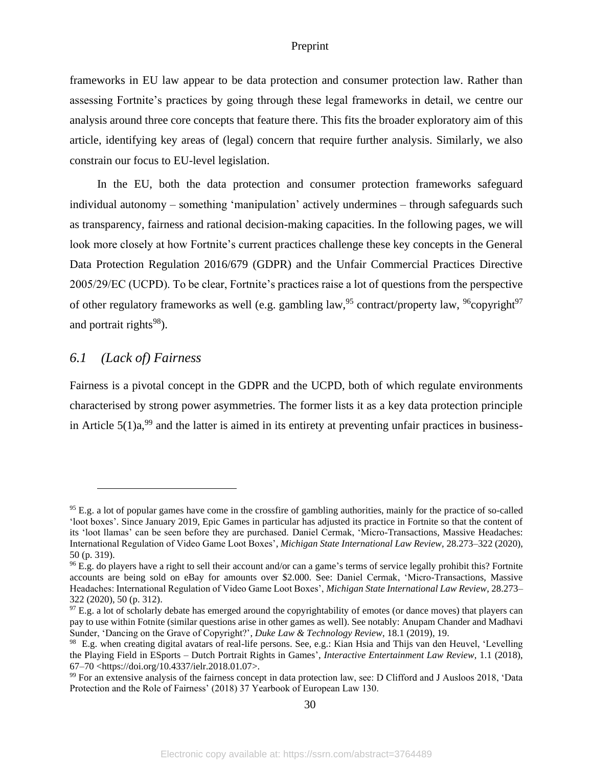frameworks in EU law appear to be data protection and consumer protection law. Rather than assessing Fortnite's practices by going through these legal frameworks in detail, we centre our analysis around three core concepts that feature there. This fits the broader exploratory aim of this article, identifying key areas of (legal) concern that require further analysis. Similarly, we also constrain our focus to EU-level legislation.

In the EU, both the data protection and consumer protection frameworks safeguard individual autonomy – something 'manipulation' actively undermines – through safeguards such as transparency, fairness and rational decision-making capacities. In the following pages, we will look more closely at how Fortnite's current practices challenge these key concepts in the General Data Protection Regulation 2016/679 (GDPR) and the Unfair Commercial Practices Directive 2005/29/EC (UCPD). To be clear, Fortnite's practices raise a lot of questions from the perspective of other regulatory frameworks as well (e.g. gambling law,  $95$  contract/property law,  $96$ copyright $97$ and portrait rights<sup>98</sup>).

# <span id="page-30-0"></span>*6.1 (Lack of) Fairness*

Fairness is a pivotal concept in the GDPR and the UCPD, both of which regulate environments characterised by strong power asymmetries. The former lists it as a key data protection principle in Article  $5(1)a$ ,<sup>99</sup> and the latter is aimed in its entirety at preventing unfair practices in business-

<sup>&</sup>lt;sup>95</sup> E.g. a lot of popular games have come in the crossfire of gambling authorities, mainly for the practice of so-called 'loot boxes'. Since January 2019, Epic Games in particular has adjusted its practice in Fortnite so that the content of its 'loot llamas' can be seen before they are purchased. Daniel Cermak, 'Micro-Transactions, Massive Headaches: International Regulation of Video Game Loot Boxes', *Michigan State International Law Review*, 28.273–322 (2020), 50 (p. 319).

<sup>96</sup> E.g. do players have a right to sell their account and/or can a game's terms of service legally prohibit this? Fortnite accounts are being sold on eBay for amounts over \$2.000. See: Daniel Cermak, 'Micro-Transactions, Massive Headaches: International Regulation of Video Game Loot Boxes', *Michigan State International Law Review*, 28.273– 322 (2020), 50 (p. 312).

 $97$  E.g. a lot of scholarly debate has emerged around the copyrightability of emotes (or dance moves) that players can pay to use within Fotnite (similar questions arise in other games as well). See notably: Anupam Chander and Madhavi Sunder, 'Dancing on the Grave of Copyright?', *Duke Law & Technology Review*, 18.1 (2019), 19.

<sup>98</sup> E.g. when creating digital avatars of real-life persons. See, e.g.: Kian Hsia and Thijs van den Heuvel, 'Levelling the Playing Field in ESports – Dutch Portrait Rights in Games', *Interactive Entertainment Law Review*, 1.1 (2018), 67–70 <https://doi.org/10.4337/ielr.2018.01.07>.

<sup>99</sup> For an extensive analysis of the fairness concept in data protection law, see: D Clifford and J Ausloos 2018, 'Data Protection and the Role of Fairness' (2018) 37 Yearbook of European Law 130.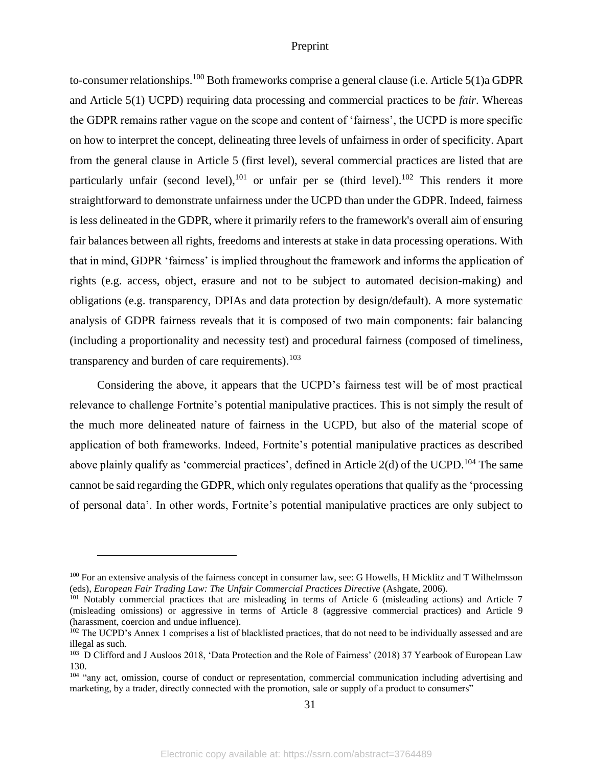to-consumer relationships.<sup>100</sup> Both frameworks comprise a general clause (i.e. Article 5(1)a GDPR and Article 5(1) UCPD) requiring data processing and commercial practices to be *fair*. Whereas the GDPR remains rather vague on the scope and content of 'fairness', the UCPD is more specific on how to interpret the concept, delineating three levels of unfairness in order of specificity. Apart from the general clause in Article 5 (first level), several commercial practices are listed that are particularly unfair (second level),<sup>101</sup> or unfair per se (third level).<sup>102</sup> This renders it more straightforward to demonstrate unfairness under the UCPD than under the GDPR. Indeed, fairness is less delineated in the GDPR, where it primarily refers to the framework's overall aim of ensuring fair balances between all rights, freedoms and interests at stake in data processing operations. With that in mind, GDPR 'fairness' is implied throughout the framework and informs the application of rights (e.g. access, object, erasure and not to be subject to automated decision-making) and obligations (e.g. transparency, DPIAs and data protection by design/default). A more systematic analysis of GDPR fairness reveals that it is composed of two main components: fair balancing (including a proportionality and necessity test) and procedural fairness (composed of timeliness, transparency and burden of care requirements). $103$ 

Considering the above, it appears that the UCPD's fairness test will be of most practical relevance to challenge Fortnite's potential manipulative practices. This is not simply the result of the much more delineated nature of fairness in the UCPD, but also of the material scope of application of both frameworks. Indeed, Fortnite's potential manipulative practices as described above plainly qualify as 'commercial practices', defined in Article 2(d) of the UCPD.<sup>104</sup> The same cannot be said regarding the GDPR, which only regulates operations that qualify as the 'processing of personal data'. In other words, Fortnite's potential manipulative practices are only subject to

<sup>&</sup>lt;sup>100</sup> For an extensive analysis of the fairness concept in consumer law, see: G Howells, H Micklitz and T Wilhelmsson (eds), *European Fair Trading Law: The Unfair Commercial Practices Directive* (Ashgate, 2006).

<sup>&</sup>lt;sup>101</sup> Notably commercial practices that are misleading in terms of Article 6 (misleading actions) and Article 7 (misleading omissions) or aggressive in terms of Article 8 (aggressive commercial practices) and Article 9 (harassment, coercion and undue influence).

<sup>&</sup>lt;sup>102</sup> The UCPD's Annex 1 comprises a list of blacklisted practices, that do not need to be individually assessed and are illegal as such.

<sup>&</sup>lt;sup>103</sup> D Clifford and J Ausloos 2018, 'Data Protection and the Role of Fairness' (2018) 37 Yearbook of European Law 130.

<sup>&</sup>lt;sup>104</sup> "any act, omission, course of conduct or representation, commercial communication including advertising and marketing, by a trader, directly connected with the promotion, sale or supply of a product to consumers"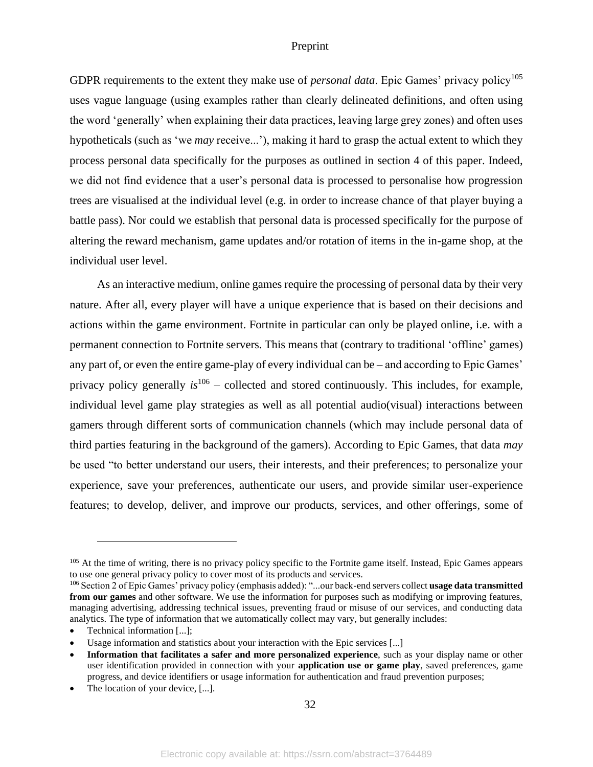GDPR requirements to the extent they make use of *personal data*. Epic Games' privacy policy<sup>105</sup> uses vague language (using examples rather than clearly delineated definitions, and often using the word 'generally' when explaining their data practices, leaving large grey zones) and often uses hypotheticals (such as 'we *may* receive...'), making it hard to grasp the actual extent to which they process personal data specifically for the purposes as outlined in section 4 of this paper. Indeed, we did not find evidence that a user's personal data is processed to personalise how progression trees are visualised at the individual level (e.g. in order to increase chance of that player buying a battle pass). Nor could we establish that personal data is processed specifically for the purpose of altering the reward mechanism, game updates and/or rotation of items in the in-game shop, at the individual user level.

As an interactive medium, online games require the processing of personal data by their very nature. After all, every player will have a unique experience that is based on their decisions and actions within the game environment. Fortnite in particular can only be played online, i.e. with a permanent connection to Fortnite servers. This means that (contrary to traditional 'offline' games) any part of, or even the entire game-play of every individual can be – and according to Epic Games' privacy policy generally *is*<sup>106</sup> – collected and stored continuously. This includes, for example, individual level game play strategies as well as all potential audio(visual) interactions between gamers through different sorts of communication channels (which may include personal data of third parties featuring in the background of the gamers). According to Epic Games, that data *may* be used "to better understand our users, their interests, and their preferences; to personalize your experience, save your preferences, authenticate our users, and provide similar user-experience features; to develop, deliver, and improve our products, services, and other offerings, some of

<sup>&</sup>lt;sup>105</sup> At the time of writing, there is no privacy policy specific to the Fortnite game itself. Instead, Epic Games appears to use one general privacy policy to cover most of its products and services.

<sup>106</sup> Section 2 of Epic Games' privacy policy (emphasis added): "...our back-end servers collect **usage data transmitted from our games** and other software. We use the information for purposes such as modifying or improving features, managing advertising, addressing technical issues, preventing fraud or misuse of our services, and conducting data analytics. The type of information that we automatically collect may vary, but generally includes:

Technical information [...];

Usage information and statistics about your interaction with the Epic services [...]

<sup>•</sup> **Information that facilitates a safer and more personalized experience**, such as your display name or other user identification provided in connection with your **application use or game play**, saved preferences, game progress, and device identifiers or usage information for authentication and fraud prevention purposes;

The location of your device, [...].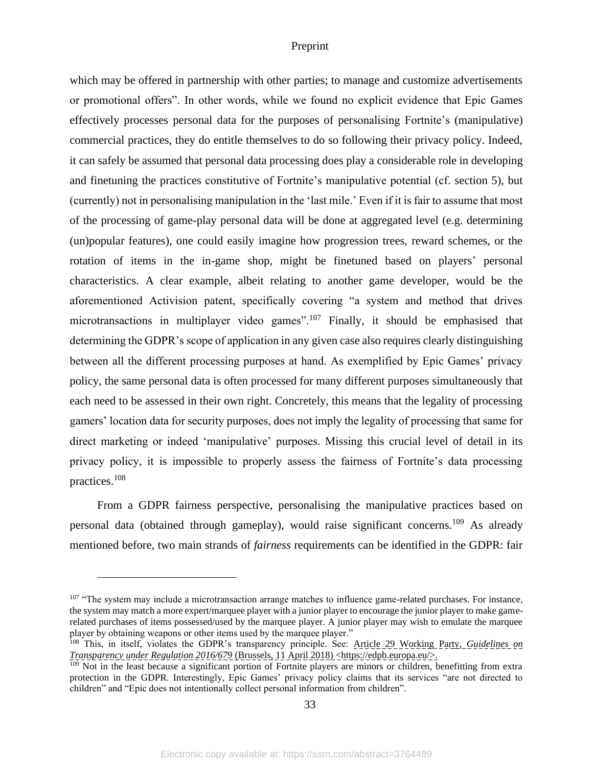which may be offered in partnership with other parties; to manage and customize advertisements or promotional offers". In other words, while we found no explicit evidence that Epic Games effectively processes personal data for the purposes of personalising Fortnite's (manipulative) commercial practices, they do entitle themselves to do so following their privacy policy. Indeed, it can safely be assumed that personal data processing does play a considerable role in developing and finetuning the practices constitutive of Fortnite's manipulative potential (cf. section 5), but (currently) not in personalising manipulation in the 'last mile.' Even if it is fair to assume that most of the processing of game-play personal data will be done at aggregated level (e.g. determining (un)popular features), one could easily imagine how progression trees, reward schemes, or the rotation of items in the in-game shop, might be finetuned based on players' personal characteristics. A clear example, albeit relating to another game developer, would be the aforementioned Activision patent, specifically covering "a system and method that drives microtransactions in multiplayer video games".<sup>107</sup> Finally, it should be emphasised that determining the GDPR's scope of application in any given case also requires clearly distinguishing between all the different processing purposes at hand. As exemplified by Epic Games' privacy policy, the same personal data is often processed for many different purposes simultaneously that each need to be assessed in their own right. Concretely, this means that the legality of processing gamers' location data for security purposes, does not imply the legality of processing that same for direct marketing or indeed 'manipulative' purposes. Missing this crucial level of detail in its privacy policy, it is impossible to properly assess the fairness of Fortnite's data processing practices.<sup>108</sup>

From a GDPR fairness perspective, personalising the manipulative practices based on personal data (obtained through gameplay), would raise significant concerns.<sup>109</sup> As already mentioned before, two main strands of *fairness* requirements can be identified in the GDPR: fair

<sup>&</sup>lt;sup>107</sup> "The system may include a microtransaction arrange matches to influence game-related purchases. For instance, the system may match a more expert/marquee player with a junior player to encourage the junior player to make gamerelated purchases of items possessed/used by the marquee player. A junior player may wish to emulate the marquee player by obtaining weapons or other items used by the marquee player."

<sup>108</sup> This, in itself, violates the GDPR's transparency principle. See: Article 29 Working Party, *Guidelines on Transparency under Regulation 2016/679* (Brussels, 11 April 2018) <https://edpb.europa.eu/>.

<sup>&</sup>lt;sup>109</sup> Not in the least because a significant portion of Fortnite players are minors or children, benefitting from extra protection in the GDPR. Interestingly, Epic Games' privacy policy claims that its services "are not directed to children" and "Epic does not intentionally collect personal information from children".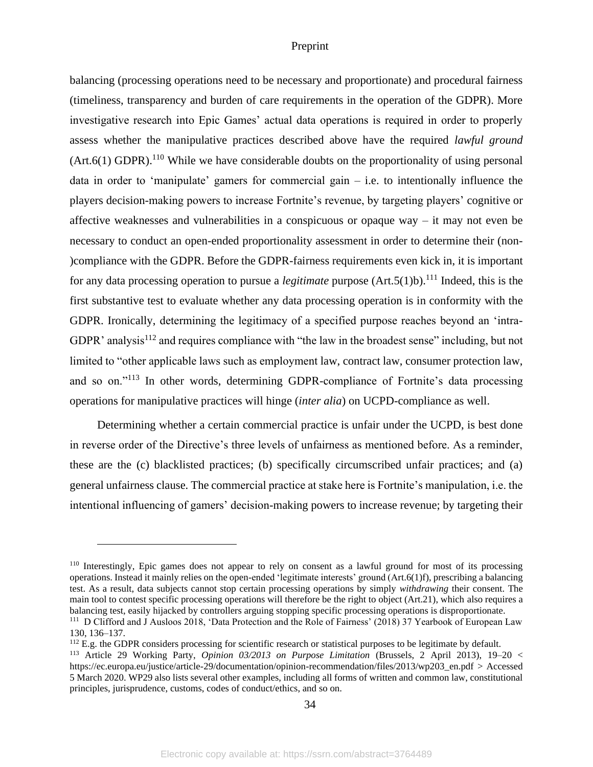balancing (processing operations need to be necessary and proportionate) and procedural fairness (timeliness, transparency and burden of care requirements in the operation of the GDPR). More investigative research into Epic Games' actual data operations is required in order to properly assess whether the manipulative practices described above have the required *lawful ground*  $(Art.6(1) GDPR).<sup>110</sup>$  While we have considerable doubts on the proportionality of using personal data in order to 'manipulate' gamers for commercial gain – i.e. to intentionally influence the players decision-making powers to increase Fortnite's revenue, by targeting players' cognitive or affective weaknesses and vulnerabilities in a conspicuous or opaque way – it may not even be necessary to conduct an open-ended proportionality assessment in order to determine their (non- )compliance with the GDPR. Before the GDPR-fairness requirements even kick in, it is important for any data processing operation to pursue a *legitimate* purpose  $(Art.5(1)b)$ .<sup>111</sup> Indeed, this is the first substantive test to evaluate whether any data processing operation is in conformity with the GDPR. Ironically, determining the legitimacy of a specified purpose reaches beyond an 'intra-GDPR' analysis<sup>112</sup> and requires compliance with "the law in the broadest sense" including, but not limited to "other applicable laws such as employment law, contract law, consumer protection law, and so on."<sup>113</sup> In other words, determining GDPR-compliance of Fortnite's data processing operations for manipulative practices will hinge (*inter alia*) on UCPD-compliance as well.

Determining whether a certain commercial practice is unfair under the UCPD, is best done in reverse order of the Directive's three levels of unfairness as mentioned before. As a reminder, these are the (c) blacklisted practices; (b) specifically circumscribed unfair practices; and (a) general unfairness clause. The commercial practice at stake here is Fortnite's manipulation, i.e. the intentional influencing of gamers' decision-making powers to increase revenue; by targeting their

<sup>110</sup> Interestingly, Epic games does not appear to rely on consent as a lawful ground for most of its processing operations. Instead it mainly relies on the open-ended 'legitimate interests' ground (Art.6(1)f), prescribing a balancing test. As a result, data subjects cannot stop certain processing operations by simply *withdrawing* their consent. The main tool to contest specific processing operations will therefore be the right to object (Art.21), which also requires a balancing test, easily hijacked by controllers arguing stopping specific processing operations is disproportionate.

<sup>111</sup> D Clifford and J Ausloos 2018, 'Data Protection and the Role of Fairness' (2018) 37 Yearbook of European Law 130, 136–137.

<sup>&</sup>lt;sup>112</sup> E.g. the GDPR considers processing for scientific research or statistical purposes to be legitimate by default.

<sup>113</sup> Article 29 Working Party, *Opinion 03/2013 on Purpose Limitation* (Brussels, 2 April 2013), 19–20 < https://ec.europa.eu/justice/article-29/documentation/opinion-recommendation/files/2013/wp203\_en.pdf > Accessed 5 March 2020. WP29 also lists several other examples, including all forms of written and common law, constitutional principles, jurisprudence, customs, codes of conduct/ethics, and so on.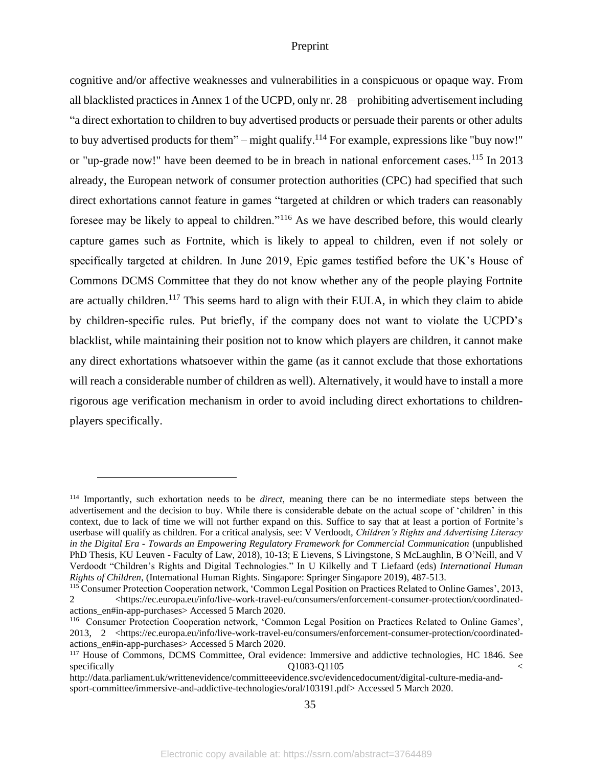cognitive and/or affective weaknesses and vulnerabilities in a conspicuous or opaque way. From all blacklisted practices in Annex 1 of the UCPD, only nr. 28 – prohibiting advertisement including "a direct exhortation to children to buy advertised products or persuade their parents or other adults to buy advertised products for them" – might qualify.<sup>114</sup> For example, expressions like "buy now!" or "up-grade now!" have been deemed to be in breach in national enforcement cases.<sup>115</sup> In 2013 already, the European network of consumer protection authorities (CPC) had specified that such direct exhortations cannot feature in games "targeted at children or which traders can reasonably foresee may be likely to appeal to children."<sup>116</sup> As we have described before, this would clearly capture games such as Fortnite, which is likely to appeal to children, even if not solely or specifically targeted at children. In June 2019, Epic games testified before the UK's House of Commons DCMS Committee that they do not know whether any of the people playing Fortnite are actually children.<sup>117</sup> This seems hard to align with their EULA, in which they claim to abide by children-specific rules. Put briefly, if the company does not want to violate the UCPD's blacklist, while maintaining their position not to know which players are children, it cannot make any direct exhortations whatsoever within the game (as it cannot exclude that those exhortations will reach a considerable number of children as well). Alternatively, it would have to install a more rigorous age verification mechanism in order to avoid including direct exhortations to childrenplayers specifically.

<sup>114</sup> Importantly, such exhortation needs to be *direct*, meaning there can be no intermediate steps between the advertisement and the decision to buy. While there is considerable debate on the actual scope of 'children' in this context, due to lack of time we will not further expand on this. Suffice to say that at least a portion of Fortnite's userbase will qualify as children. For a critical analysis, see: V Verdoodt, *Children's Rights and Advertising Literacy in the Digital Era - Towards an Empowering Regulatory Framework for Commercial Communication* (unpublished PhD Thesis, KU Leuven - Faculty of Law, 2018), 10-13; E Lievens, S Livingstone, S McLaughlin, B O'Neill, and V Verdoodt "Children's Rights and Digital Technologies." In U Kilkelly and T Liefaard (eds) *International Human Rights of Children*, (International Human Rights. Singapore: Springer Singapore 2019), 487-513.

<sup>115</sup> Consumer Protection Cooperation network, 'Common Legal Position on Practices Related to Online Games', 2013, 2 <https://ec.europa.eu/info/live-work-travel-eu/consumers/enforcement-consumer-protection/coordinatedactions\_en#in-app-purchases> Accessed 5 March 2020.

<sup>116</sup> Consumer Protection Cooperation network, 'Common Legal Position on Practices Related to Online Games', 2013, 2 <https://ec.europa.eu/info/live-work-travel-eu/consumers/enforcement-consumer-protection/coordinatedactions\_en#in-app-purchases> Accessed 5 March 2020.

<sup>&</sup>lt;sup>117</sup> House of Commons, DCMS Committee, Oral evidence: Immersive and addictive technologies, HC 1846. See specifically  $Q1083-Q1105$ 

http://data.parliament.uk/writtenevidence/committeeevidence.svc/evidencedocument/digital-culture-media-andsport-committee/immersive-and-addictive-technologies/oral/103191.pdf> Accessed 5 March 2020.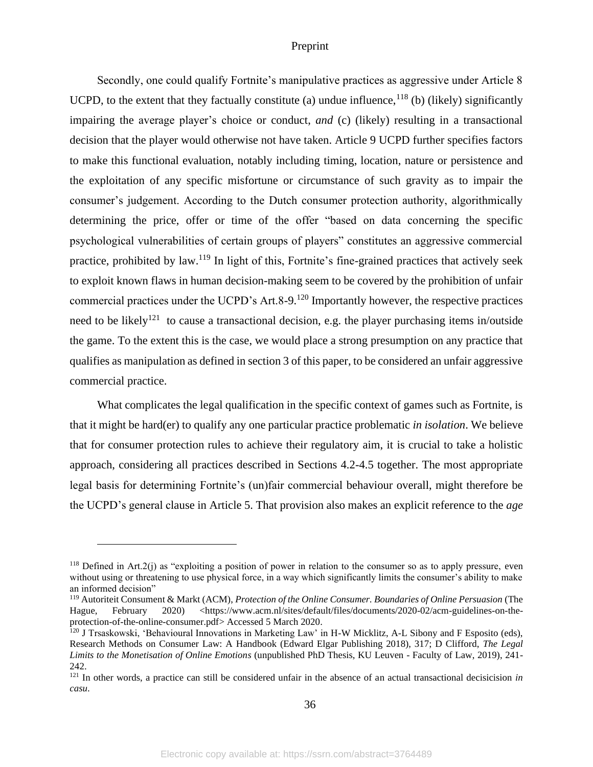Secondly, one could qualify Fortnite's manipulative practices as aggressive under Article 8 UCPD, to the extent that they factually constitute (a) undue influence,<sup>118</sup> (b) (likely) significantly impairing the average player's choice or conduct, *and* (c) (likely) resulting in a transactional decision that the player would otherwise not have taken. Article 9 UCPD further specifies factors to make this functional evaluation, notably including timing, location, nature or persistence and the exploitation of any specific misfortune or circumstance of such gravity as to impair the consumer's judgement. According to the Dutch consumer protection authority, algorithmically determining the price, offer or time of the offer "based on data concerning the specific psychological vulnerabilities of certain groups of players" constitutes an aggressive commercial practice, prohibited by law.<sup>119</sup> In light of this, Fortnite's fine-grained practices that actively seek to exploit known flaws in human decision-making seem to be covered by the prohibition of unfair commercial practices under the UCPD's Art.  $8-9$ .<sup>120</sup> Importantly however, the respective practices need to be likely<sup>121</sup> to cause a transactional decision, e.g. the player purchasing items in/outside the game. To the extent this is the case, we would place a strong presumption on any practice that qualifies as manipulation as defined in section 3 of this paper, to be considered an unfair aggressive commercial practice.

What complicates the legal qualification in the specific context of games such as Fortnite, is that it might be hard(er) to qualify any one particular practice problematic *in isolation*. We believe that for consumer protection rules to achieve their regulatory aim, it is crucial to take a holistic approach, considering all practices described in Sections 4.2-4.5 together. The most appropriate legal basis for determining Fortnite's (un)fair commercial behaviour overall, might therefore be the UCPD's general clause in Article 5. That provision also makes an explicit reference to the *age*

 $118$  Defined in Art.2(j) as "exploiting a position of power in relation to the consumer so as to apply pressure, even without using or threatening to use physical force, in a way which significantly limits the consumer's ability to make an informed decision"

<sup>119</sup> Autoriteit Consument & Markt (ACM), *Protection of the Online Consumer. Boundaries of Online Persuasion* (The Hague, February 2020) <https://www.acm.nl/sites/default/files/documents/2020-02/acm-guidelines-on-theprotection-of-the-online-consumer.pdf> Accessed 5 March 2020.

<sup>&</sup>lt;sup>120</sup> J Trsaskowski, 'Behavioural Innovations in Marketing Law' in H-W Micklitz, A-L Sibony and F Esposito (eds), Research Methods on Consumer Law: A Handbook (Edward Elgar Publishing 2018), 317; D Clifford, *The Legal Limits to the Monetisation of Online Emotions* (unpublished PhD Thesis, KU Leuven - Faculty of Law, 2019), 241- 242.

<sup>&</sup>lt;sup>121</sup> In other words, a practice can still be considered unfair in the absence of an actual transactional decisicision *in casu*.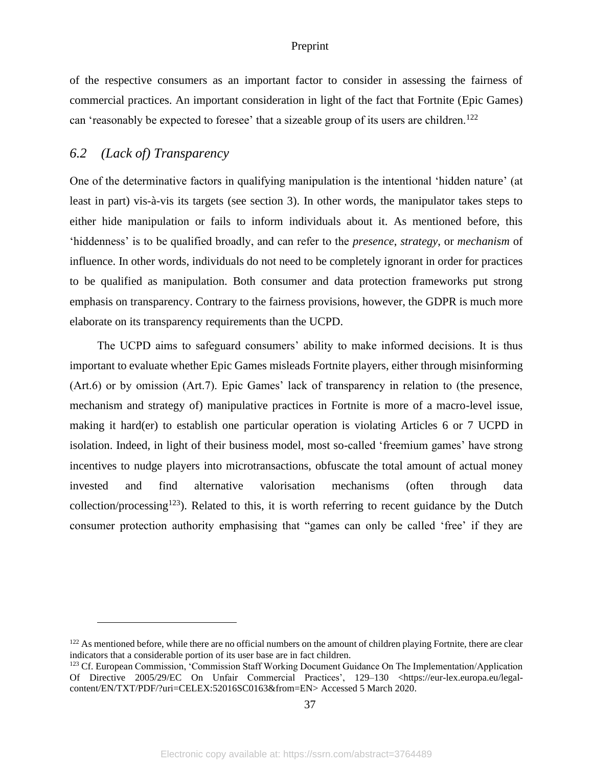of the respective consumers as an important factor to consider in assessing the fairness of commercial practices. An important consideration in light of the fact that Fortnite (Epic Games) can 'reasonably be expected to foresee' that a sizeable group of its users are children.<sup>122</sup>

# <span id="page-37-0"></span>*6.2 (Lack of) Transparency*

One of the determinative factors in qualifying manipulation is the intentional 'hidden nature' (at least in part) vis-à-vis its targets (see section 3). In other words, the manipulator takes steps to either hide manipulation or fails to inform individuals about it. As mentioned before, this 'hiddenness' is to be qualified broadly, and can refer to the *presence*, *strategy*, or *mechanism* of influence. In other words, individuals do not need to be completely ignorant in order for practices to be qualified as manipulation. Both consumer and data protection frameworks put strong emphasis on transparency. Contrary to the fairness provisions, however, the GDPR is much more elaborate on its transparency requirements than the UCPD.

The UCPD aims to safeguard consumers' ability to make informed decisions. It is thus important to evaluate whether Epic Games misleads Fortnite players, either through misinforming (Art.6) or by omission (Art.7). Epic Games' lack of transparency in relation to (the presence, mechanism and strategy of) manipulative practices in Fortnite is more of a macro-level issue, making it hard(er) to establish one particular operation is violating Articles 6 or 7 UCPD in isolation. Indeed, in light of their business model, most so-called 'freemium games' have strong incentives to nudge players into microtransactions, obfuscate the total amount of actual money invested and find alternative valorisation mechanisms (often through data collection/processing<sup>123</sup>). Related to this, it is worth referring to recent guidance by the Dutch consumer protection authority emphasising that "games can only be called 'free' if they are

<sup>&</sup>lt;sup>122</sup> As mentioned before, while there are no official numbers on the amount of children playing Fortnite, there are clear indicators that a considerable portion of its user base are in fact children.

<sup>&</sup>lt;sup>123</sup> Cf. European Commission, 'Commission Staff Working Document Guidance On The Implementation/Application Of Directive 2005/29/EC On Unfair Commercial Practices', 129–130 <https://eur-lex.europa.eu/legalcontent/EN/TXT/PDF/?uri=CELEX:52016SC0163&from=EN> Accessed 5 March 2020.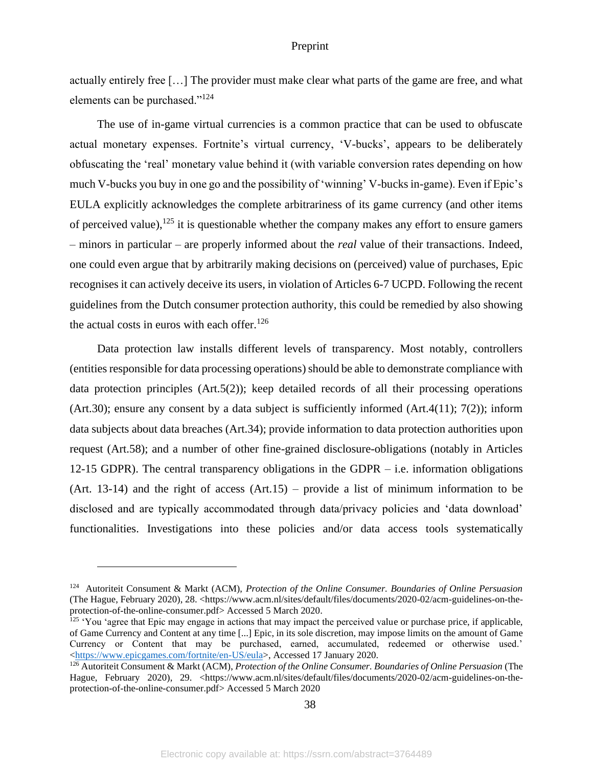actually entirely free […] The provider must make clear what parts of the game are free, and what elements can be purchased."<sup>124</sup>

The use of in-game virtual currencies is a common practice that can be used to obfuscate actual monetary expenses. Fortnite's virtual currency, 'V-bucks', appears to be deliberately obfuscating the 'real' monetary value behind it (with variable conversion rates depending on how much V-bucks you buy in one go and the possibility of 'winning' V-bucks in-game). Even if Epic's EULA explicitly acknowledges the complete arbitrariness of its game currency (and other items of perceived value),  $125$  it is questionable whether the company makes any effort to ensure gamers – minors in particular – are properly informed about the *real* value of their transactions. Indeed, one could even argue that by arbitrarily making decisions on (perceived) value of purchases, Epic recognises it can actively deceive its users, in violation of Articles 6-7 UCPD. Following the recent guidelines from the Dutch consumer protection authority, this could be remedied by also showing the actual costs in euros with each offer.<sup>126</sup>

Data protection law installs different levels of transparency. Most notably, controllers (entities responsible for data processing operations) should be able to demonstrate compliance with data protection principles (Art.5(2)); keep detailed records of all their processing operations (Art.30); ensure any consent by a data subject is sufficiently informed (Art.4(11); 7(2)); inform data subjects about data breaches (Art.34); provide information to data protection authorities upon request (Art.58); and a number of other fine-grained disclosure-obligations (notably in Articles 12-15 GDPR). The central transparency obligations in the GDPR – i.e. information obligations (Art. 13-14) and the right of access  $(Art.15)$  – provide a list of minimum information to be disclosed and are typically accommodated through data/privacy policies and 'data download' functionalities. Investigations into these policies and/or data access tools systematically

<sup>124</sup> Autoriteit Consument & Markt (ACM), *Protection of the Online Consumer. Boundaries of Online Persuasion* (The Hague, February 2020), 28. <https://www.acm.nl/sites/default/files/documents/2020-02/acm-guidelines-on-theprotection-of-the-online-consumer.pdf> Accessed 5 March 2020.

 $125$  'You 'agree that Epic may engage in actions that may impact the perceived value or purchase price, if applicable, of Game Currency and Content at any time [...] Epic, in its sole discretion, may impose limits on the amount of Game Currency or Content that may be purchased, earned, accumulated, redeemed or otherwise used.' [<https://www.epicgames.com/fortnite/en-US/eula>](https://www.epicgames.com/fortnite/en-US/eula), Accessed 17 January 2020.

<sup>126</sup> Autoriteit Consument & Markt (ACM), *Protection of the Online Consumer. Boundaries of Online Persuasion* (The Hague, February 2020), 29. <https://www.acm.nl/sites/default/files/documents/2020-02/acm-guidelines-on-theprotection-of-the-online-consumer.pdf> Accessed 5 March 2020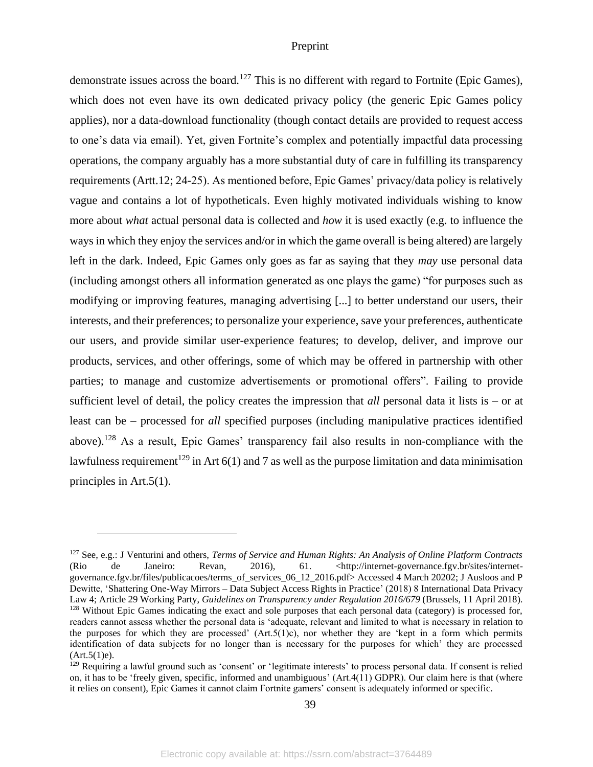demonstrate issues across the board.<sup>127</sup> This is no different with regard to Fortnite (Epic Games), which does not even have its own dedicated privacy policy (the generic Epic Games policy applies), nor a data-download functionality (though contact details are provided to request access to one's data via email). Yet, given Fortnite's complex and potentially impactful data processing operations, the company arguably has a more substantial duty of care in fulfilling its transparency requirements (Artt.12; 24-25). As mentioned before, Epic Games' privacy/data policy is relatively vague and contains a lot of hypotheticals. Even highly motivated individuals wishing to know more about *what* actual personal data is collected and *how* it is used exactly (e.g. to influence the ways in which they enjoy the services and/or in which the game overall is being altered) are largely left in the dark. Indeed, Epic Games only goes as far as saying that they *may* use personal data (including amongst others all information generated as one plays the game) "for purposes such as modifying or improving features, managing advertising [...] to better understand our users, their interests, and their preferences; to personalize your experience, save your preferences, authenticate our users, and provide similar user-experience features; to develop, deliver, and improve our products, services, and other offerings, some of which may be offered in partnership with other parties; to manage and customize advertisements or promotional offers". Failing to provide sufficient level of detail, the policy creates the impression that *all* personal data it lists is – or at least can be – processed for *all* specified purposes (including manipulative practices identified above).<sup>128</sup> As a result, Epic Games' transparency fail also results in non-compliance with the lawfulness requirement<sup>129</sup> in Art  $6(1)$  and 7 as well as the purpose limitation and data minimisation principles in Art.5(1).

<sup>127</sup> See, e.g.: J Venturini and others, *Terms of Service and Human Rights: An Analysis of Online Platform Contracts* (Rio de Janeiro: Revan, 2016), 61. <http://internet-governance.fgv.br/sites/internetgovernance.fgv.br/files/publicacoes/terms\_of\_services\_06\_12\_2016.pdf> Accessed 4 March 20202; J Ausloos and P Dewitte, 'Shattering One-Way Mirrors – Data Subject Access Rights in Practice' (2018) 8 International Data Privacy Law 4; Article 29 Working Party, *Guidelines on Transparency under Regulation 2016/679* (Brussels, 11 April 2018). <sup>128</sup> Without Epic Games indicating the exact and sole purposes that each personal data (category) is processed for, readers cannot assess whether the personal data is 'adequate, relevant and limited to what is necessary in relation to the purposes for which they are processed'  $(Art.5(1)c)$ , nor whether they are 'kept in a form which permits identification of data subjects for no longer than is necessary for the purposes for which' they are processed  $(Art.5(1)e).$ 

<sup>&</sup>lt;sup>129</sup> Requiring a lawful ground such as 'consent' or 'legitimate interests' to process personal data. If consent is relied on, it has to be 'freely given, specific, informed and unambiguous' (Art.4(11) GDPR). Our claim here is that (where it relies on consent), Epic Games it cannot claim Fortnite gamers' consent is adequately informed or specific.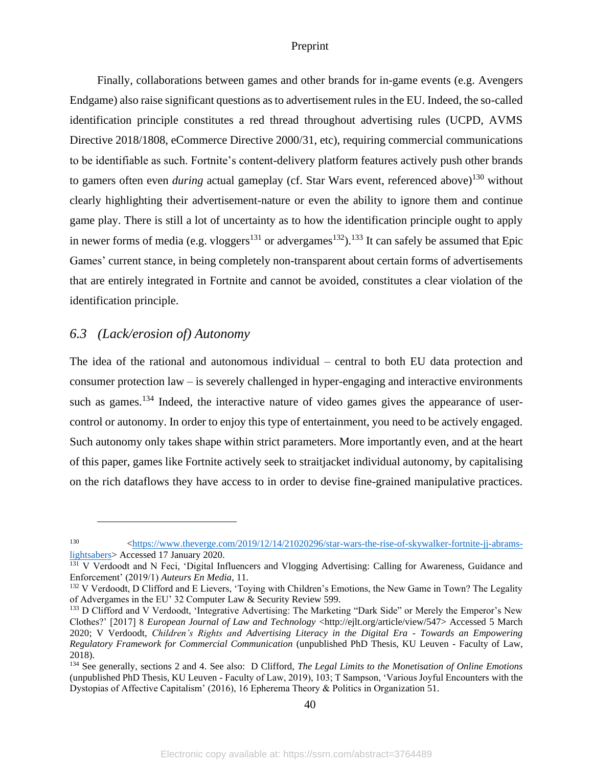Finally, collaborations between games and other brands for in-game events (e.g. Avengers Endgame) also raise significant questions as to advertisement rules in the EU. Indeed, the so-called identification principle constitutes a red thread throughout advertising rules (UCPD, AVMS Directive 2018/1808, eCommerce Directive 2000/31, etc), requiring commercial communications to be identifiable as such. Fortnite's content-delivery platform features actively push other brands to gamers often even *during* actual gameplay (cf. Star Wars event, referenced above)<sup>130</sup> without clearly highlighting their advertisement-nature or even the ability to ignore them and continue game play. There is still a lot of uncertainty as to how the identification principle ought to apply in newer forms of media (e.g. vloggers<sup>131</sup> or advergames<sup>132</sup>).<sup>133</sup> It can safely be assumed that Epic Games' current stance, in being completely non-transparent about certain forms of advertisements that are entirely integrated in Fortnite and cannot be avoided, constitutes a clear violation of the identification principle.

### <span id="page-40-0"></span>*6.3 (Lack/erosion of) Autonomy*

The idea of the rational and autonomous individual – central to both EU data protection and consumer protection law – is severely challenged in hyper-engaging and interactive environments such as games.<sup>134</sup> Indeed, the interactive nature of video games gives the appearance of usercontrol or autonomy. In order to enjoy this type of entertainment, you need to be actively engaged. Such autonomy only takes shape within strict parameters. More importantly even, and at the heart of this paper, games like Fortnite actively seek to straitjacket individual autonomy, by capitalising on the rich dataflows they have access to in order to devise fine-grained manipulative practices.

<sup>130</sup> [<https://www.theverge.com/2019/12/14/21020296/star-wars-the-rise-of-skywalker-fortnite-jj-abrams](https://www.theverge.com/2019/12/14/21020296/star-wars-the-rise-of-skywalker-fortnite-jj-abrams-lightsabers)[lightsabers>](https://www.theverge.com/2019/12/14/21020296/star-wars-the-rise-of-skywalker-fortnite-jj-abrams-lightsabers) Accessed 17 January 2020.

<sup>&</sup>lt;sup>131</sup> V Verdoodt and N Feci, 'Digital Influencers and Vlogging Advertising: Calling for Awareness, Guidance and Enforcement' (2019/1) *Auteurs En Media*, 11.

<sup>&</sup>lt;sup>132</sup> V Verdoodt, D Clifford and E Lievers, 'Toying with Children's Emotions, the New Game in Town? The Legality of Advergames in the EU' 32 Computer Law & Security Review 599.

<sup>&</sup>lt;sup>133</sup> D Clifford and V Verdoodt, 'Integrative Advertising: The Marketing "Dark Side" or Merely the Emperor's New Clothes?' [2017] 8 *European Journal of Law and Technology* <http://ejlt.org/article/view/547> Accessed 5 March 2020; V Verdoodt, *Children's Rights and Advertising Literacy in the Digital Era - Towards an Empowering Regulatory Framework for Commercial Communication* (unpublished PhD Thesis, KU Leuven - Faculty of Law, 2018).

<sup>134</sup> See generally, sections 2 and 4. See also: D Clifford, *The Legal Limits to the Monetisation of Online Emotions* (unpublished PhD Thesis, KU Leuven - Faculty of Law, 2019), 103; T Sampson, 'Various Joyful Encounters with the Dystopias of Affective Capitalism' (2016), 16 Epherema Theory & Politics in Organization 51.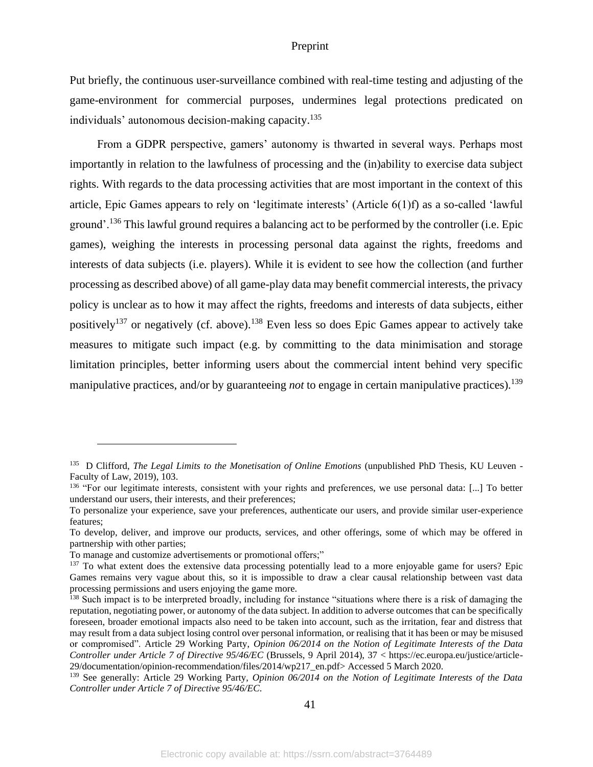Put briefly, the continuous user-surveillance combined with real-time testing and adjusting of the game-environment for commercial purposes, undermines legal protections predicated on individuals' autonomous decision-making capacity.<sup>135</sup>

From a GDPR perspective, gamers' autonomy is thwarted in several ways. Perhaps most importantly in relation to the lawfulness of processing and the (in)ability to exercise data subject rights. With regards to the data processing activities that are most important in the context of this article, Epic Games appears to rely on 'legitimate interests' (Article 6(1)f) as a so-called 'lawful ground'.<sup>136</sup> This lawful ground requires a balancing act to be performed by the controller (i.e. Epic games), weighing the interests in processing personal data against the rights, freedoms and interests of data subjects (i.e. players). While it is evident to see how the collection (and further processing as described above) of all game-play data may benefit commercial interests, the privacy policy is unclear as to how it may affect the rights, freedoms and interests of data subjects, either positively<sup>137</sup> or negatively (cf. above).<sup>138</sup> Even less so does Epic Games appear to actively take measures to mitigate such impact (e.g. by committing to the data minimisation and storage limitation principles, better informing users about the commercial intent behind very specific manipulative practices, and/or by guaranteeing *not* to engage in certain manipulative practices).<sup>139</sup>

41

<sup>135</sup> D Clifford, *The Legal Limits to the Monetisation of Online Emotions* (unpublished PhD Thesis, KU Leuven - Faculty of Law, 2019), 103.

<sup>&</sup>lt;sup>136</sup> "For our legitimate interests, consistent with your rights and preferences, we use personal data: [...] To better understand our users, their interests, and their preferences;

To personalize your experience, save your preferences, authenticate our users, and provide similar user-experience features;

To develop, deliver, and improve our products, services, and other offerings, some of which may be offered in partnership with other parties;

To manage and customize advertisements or promotional offers;"

<sup>&</sup>lt;sup>137</sup> To what extent does the extensive data processing potentially lead to a more enjoyable game for users? Epic Games remains very vague about this, so it is impossible to draw a clear causal relationship between vast data processing permissions and users enjoying the game more.

<sup>&</sup>lt;sup>138</sup> Such impact is to be interpreted broadly, including for instance "situations where there is a risk of damaging the reputation, negotiating power, or autonomy of the data subject. In addition to adverse outcomes that can be specifically foreseen, broader emotional impacts also need to be taken into account, such as the irritation, fear and distress that may result from a data subject losing control over personal information, or realising that it has been or may be misused or compromised". Article 29 Working Party, *Opinion 06/2014 on the Notion of Legitimate Interests of the Data Controller under Article 7 of Directive 95/46/EC* (Brussels, 9 April 2014), 37 < https://ec.europa.eu/justice/article-29/documentation/opinion-recommendation/files/2014/wp217\_en.pdf> Accessed 5 March 2020.

<sup>139</sup> See generally: Article 29 Working Party, *Opinion 06/2014 on the Notion of Legitimate Interests of the Data Controller under Article 7 of Directive 95/46/EC*.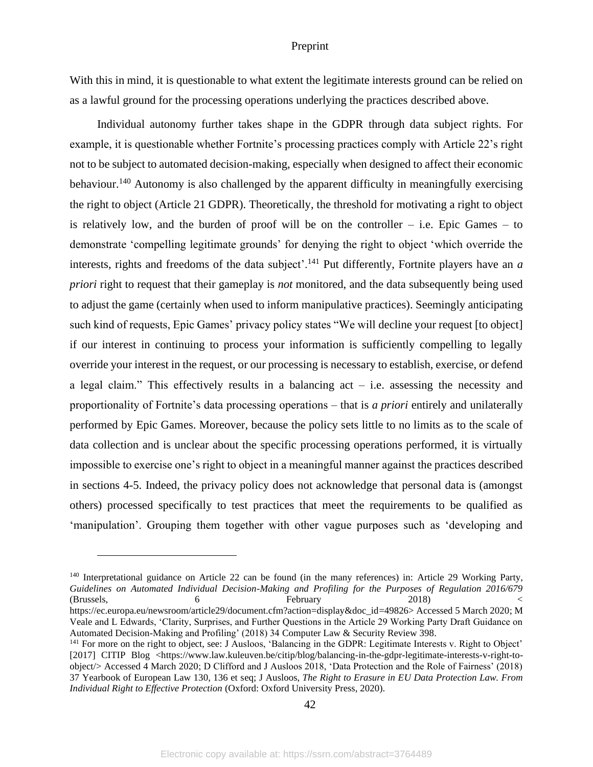With this in mind, it is questionable to what extent the legitimate interests ground can be relied on as a lawful ground for the processing operations underlying the practices described above.

Individual autonomy further takes shape in the GDPR through data subject rights. For example, it is questionable whether Fortnite's processing practices comply with Article 22's right not to be subject to automated decision-making, especially when designed to affect their economic behaviour.<sup>140</sup> Autonomy is also challenged by the apparent difficulty in meaningfully exercising the right to object (Article 21 GDPR). Theoretically, the threshold for motivating a right to object is relatively low, and the burden of proof will be on the controller  $-$  i.e. Epic Games  $-$  to demonstrate 'compelling legitimate grounds' for denying the right to object 'which override the interests, rights and freedoms of the data subject<sup>'</sup>.<sup>141</sup> Put differently, Fortnite players have an *a priori* right to request that their gameplay is *not* monitored, and the data subsequently being used to adjust the game (certainly when used to inform manipulative practices). Seemingly anticipating such kind of requests, Epic Games' privacy policy states "We will decline your request [to object] if our interest in continuing to process your information is sufficiently compelling to legally override your interest in the request, or our processing is necessary to establish, exercise, or defend a legal claim." This effectively results in a balancing  $act - i.e.$  assessing the necessity and proportionality of Fortnite's data processing operations – that is *a priori* entirely and unilaterally performed by Epic Games. Moreover, because the policy sets little to no limits as to the scale of data collection and is unclear about the specific processing operations performed, it is virtually impossible to exercise one's right to object in a meaningful manner against the practices described in sections 4-5. Indeed, the privacy policy does not acknowledge that personal data is (amongst others) processed specifically to test practices that meet the requirements to be qualified as 'manipulation'. Grouping them together with other vague purposes such as 'developing and

<sup>140</sup> Interpretational guidance on Article 22 can be found (in the many references) in: Article 29 Working Party, *Guidelines on Automated Individual Decision-Making and Profiling for the Purposes of Regulation 2016/679* (Brussels, 6 6 February 2018) (Brussels, 6 https://ec.europa.eu/newsroom/article29/document.cfm?action=display&doc\_id=49826> Accessed 5 March 2020; M Veale and L Edwards, 'Clarity, Surprises, and Further Questions in the Article 29 Working Party Draft Guidance on Automated Decision-Making and Profiling' (2018) 34 Computer Law & Security Review 398.

<sup>&</sup>lt;sup>141</sup> For more on the right to object, see: J Ausloos, 'Balancing in the GDPR: Legitimate Interests v. Right to Object' [2017] CITIP Blog <https://www.law.kuleuven.be/citip/blog/balancing-in-the-gdpr-legitimate-interests-v-right-toobject/> Accessed 4 March 2020; D Clifford and J Ausloos 2018, 'Data Protection and the Role of Fairness' (2018) 37 Yearbook of European Law 130, 136 et seq; J Ausloos, *The Right to Erasure in EU Data Protection Law. From Individual Right to Effective Protection* (Oxford: Oxford University Press, 2020).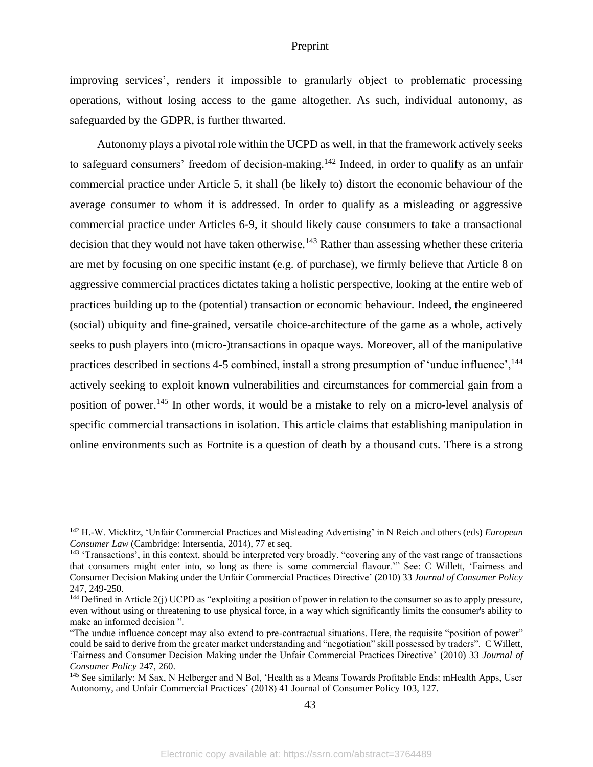improving services', renders it impossible to granularly object to problematic processing operations, without losing access to the game altogether. As such, individual autonomy, as safeguarded by the GDPR, is further thwarted.

Autonomy plays a pivotal role within the UCPD as well, in that the framework actively seeks to safeguard consumers' freedom of decision-making.<sup>142</sup> Indeed, in order to qualify as an unfair commercial practice under Article 5, it shall (be likely to) distort the economic behaviour of the average consumer to whom it is addressed. In order to qualify as a misleading or aggressive commercial practice under Articles 6-9, it should likely cause consumers to take a transactional decision that they would not have taken otherwise.<sup>143</sup> Rather than assessing whether these criteria are met by focusing on one specific instant (e.g. of purchase), we firmly believe that Article 8 on aggressive commercial practices dictates taking a holistic perspective, looking at the entire web of practices building up to the (potential) transaction or economic behaviour. Indeed, the engineered (social) ubiquity and fine-grained, versatile choice-architecture of the game as a whole, actively seeks to push players into (micro-)transactions in opaque ways. Moreover, all of the manipulative practices described in sections 4-5 combined, install a strong presumption of 'undue influence', <sup>144</sup> actively seeking to exploit known vulnerabilities and circumstances for commercial gain from a position of power.<sup>145</sup> In other words, it would be a mistake to rely on a micro-level analysis of specific commercial transactions in isolation. This article claims that establishing manipulation in online environments such as Fortnite is a question of death by a thousand cuts. There is a strong

<sup>142</sup> H.-W. Micklitz, 'Unfair Commercial Practices and Misleading Advertising' in N Reich and others (eds) *European Consumer Law* (Cambridge: Intersentia, 2014), 77 et seq.

<sup>&</sup>lt;sup>143</sup> 'Transactions', in this context, should be interpreted very broadly. "covering any of the vast range of transactions that consumers might enter into, so long as there is some commercial flavour.'" See: C Willett, 'Fairness and Consumer Decision Making under the Unfair Commercial Practices Directive' (2010) 33 *Journal of Consumer Policy* 247, 249-250.

<sup>&</sup>lt;sup>144</sup> Defined in Article 2(j) UCPD as "exploiting a position of power in relation to the consumer so as to apply pressure, even without using or threatening to use physical force, in a way which significantly limits the consumer's ability to make an informed decision ".

<sup>&</sup>quot;The undue influence concept may also extend to pre-contractual situations. Here, the requisite "position of power" could be said to derive from the greater market understanding and "negotiation" skill possessed by traders". C Willett, 'Fairness and Consumer Decision Making under the Unfair Commercial Practices Directive' (2010) 33 *Journal of Consumer Policy* 247, 260.

<sup>&</sup>lt;sup>145</sup> See similarly: M Sax, N Helberger and N Bol, 'Health as a Means Towards Profitable Ends: mHealth Apps, User Autonomy, and Unfair Commercial Practices' (2018) 41 Journal of Consumer Policy 103, 127.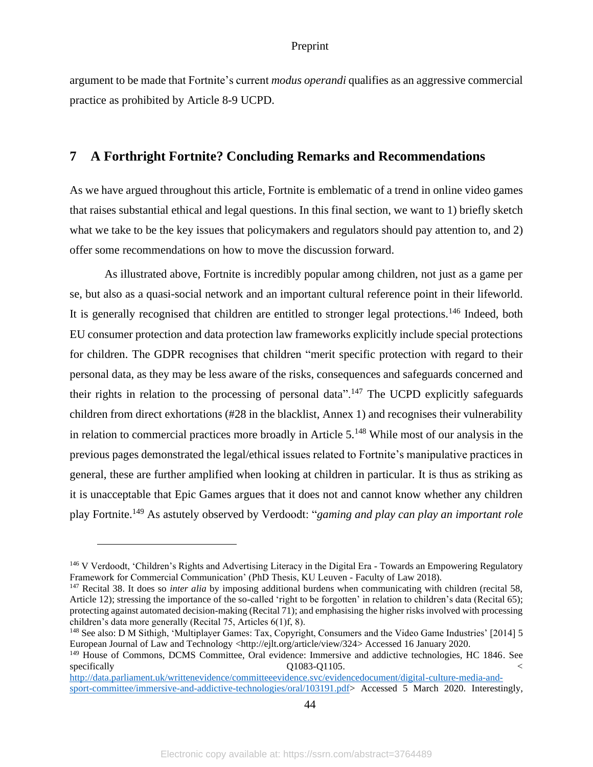argument to be made that Fortnite's current *modus operandi* qualifies as an aggressive commercial practice as prohibited by Article 8-9 UCPD.

# <span id="page-44-0"></span>**7 A Forthright Fortnite? Concluding Remarks and Recommendations**

As we have argued throughout this article, Fortnite is emblematic of a trend in online video games that raises substantial ethical and legal questions. In this final section, we want to 1) briefly sketch what we take to be the key issues that policymakers and regulators should pay attention to, and 2) offer some recommendations on how to move the discussion forward.

As illustrated above, Fortnite is incredibly popular among children, not just as a game per se, but also as a quasi-social network and an important cultural reference point in their lifeworld. It is generally recognised that children are entitled to stronger legal protections.<sup>146</sup> Indeed, both EU consumer protection and data protection law frameworks explicitly include special protections for children. The GDPR recognises that children "merit specific protection with regard to their personal data, as they may be less aware of the risks, consequences and safeguards concerned and their rights in relation to the processing of personal data".<sup>147</sup> The UCPD explicitly safeguards children from direct exhortations (#28 in the blacklist, Annex 1) and recognises their vulnerability in relation to commercial practices more broadly in Article 5.<sup>148</sup> While most of our analysis in the previous pages demonstrated the legal/ethical issues related to Fortnite's manipulative practices in general, these are further amplified when looking at children in particular. It is thus as striking as it is unacceptable that Epic Games argues that it does not and cannot know whether any children play Fortnite.<sup>149</sup> As astutely observed by Verdoodt: "*gaming and play can play an important role* 

<sup>146</sup> V Verdoodt, 'Children's Rights and Advertising Literacy in the Digital Era - Towards an Empowering Regulatory Framework for Commercial Communication' (PhD Thesis, KU Leuven - Faculty of Law 2018).

<sup>147</sup> Recital 38. It does so *inter alia* by imposing additional burdens when communicating with children (recital 58, Article 12); stressing the importance of the so-called 'right to be forgotten' in relation to children's data (Recital 65); protecting against automated decision-making (Recital 71); and emphasising the higher risks involved with processing children's data more generally (Recital 75, Articles 6(1)f, 8).

<sup>148</sup> See also: D M Sithigh, 'Multiplayer Games: Tax, Copyright, Consumers and the Video Game Industries' [2014] 5 European Journal of Law and Technology <http://ejlt.org/article/view/324> Accessed 16 January 2020.

<sup>&</sup>lt;sup>149</sup> House of Commons, DCMS Committee, Oral evidence: Immersive and addictive technologies, HC 1846. See specifically  $Q1083-Q1105$ .

[http://data.parliament.uk/writtenevidence/committeeevidence.svc/evidencedocument/digital-culture-media-and](http://data.parliament.uk/writtenevidence/committeeevidence.svc/evidencedocument/digital-culture-media-and-sport-committee/immersive-and-addictive-technologies/oral/103191.pdf)[sport-committee/immersive-and-addictive-technologies/oral/103191.pdf>](http://data.parliament.uk/writtenevidence/committeeevidence.svc/evidencedocument/digital-culture-media-and-sport-committee/immersive-and-addictive-technologies/oral/103191.pdf) Accessed 5 March 2020. Interestingly,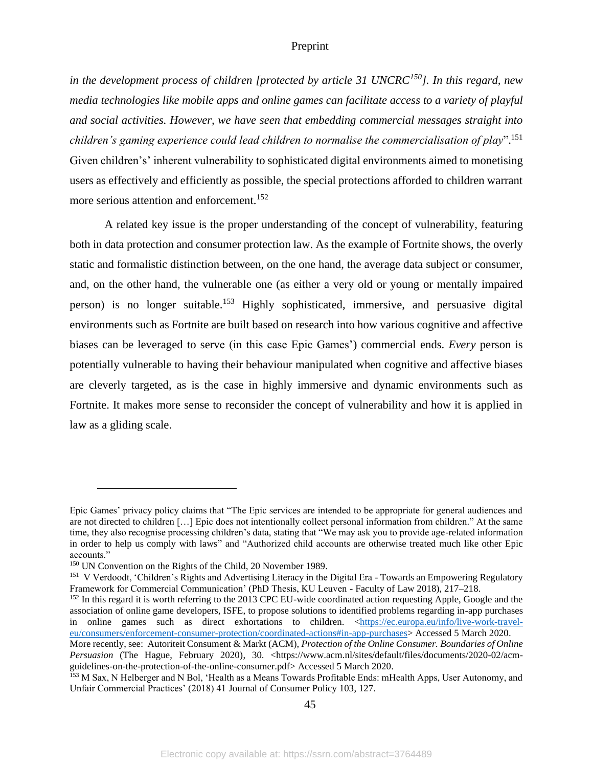*in the development process of children [protected by article 31 UNCRC<sup>150</sup>]. In this regard, new media technologies like mobile apps and online games can facilitate access to a variety of playful and social activities. However, we have seen that embedding commercial messages straight into children's gaming experience could lead children to normalise the commercialisation of play*". 151 Given children's' inherent vulnerability to sophisticated digital environments aimed to monetising users as effectively and efficiently as possible, the special protections afforded to children warrant more serious attention and enforcement.<sup>152</sup>

A related key issue is the proper understanding of the concept of vulnerability, featuring both in data protection and consumer protection law. As the example of Fortnite shows, the overly static and formalistic distinction between, on the one hand, the average data subject or consumer, and, on the other hand, the vulnerable one (as either a very old or young or mentally impaired person) is no longer suitable.<sup>153</sup> Highly sophisticated, immersive, and persuasive digital environments such as Fortnite are built based on research into how various cognitive and affective biases can be leveraged to serve (in this case Epic Games') commercial ends. *Every* person is potentially vulnerable to having their behaviour manipulated when cognitive and affective biases are cleverly targeted, as is the case in highly immersive and dynamic environments such as Fortnite. It makes more sense to reconsider the concept of vulnerability and how it is applied in law as a gliding scale.

Epic Games' privacy policy claims that "The Epic services are intended to be appropriate for general audiences and are not directed to children […] Epic does not intentionally collect personal information from children." At the same time, they also recognise processing children's data, stating that "We may ask you to provide age-related information in order to help us comply with laws" and "Authorized child accounts are otherwise treated much like other Epic accounts."

<sup>&</sup>lt;sup>150</sup> UN Convention on the Rights of the Child, 20 November 1989.

<sup>&</sup>lt;sup>151</sup> V Verdoodt, 'Children's Rights and Advertising Literacy in the Digital Era - Towards an Empowering Regulatory Framework for Commercial Communication' (PhD Thesis, KU Leuven - Faculty of Law 2018), 217–218.

<sup>&</sup>lt;sup>152</sup> In this regard it is worth referring to the 2013 CPC EU-wide coordinated action requesting Apple, Google and the association of online game developers, ISFE, to propose solutions to identified problems regarding in-app purchases in online games such as direct exhortations to children. [<https://ec.europa.eu/info/live-work-travel](https://ec.europa.eu/info/live-work-travel-eu/consumers/enforcement-consumer-protection/coordinated-actions#in-app-purchases)[eu/consumers/enforcement-consumer-protection/coordinated-actions#in-app-purchases>](https://ec.europa.eu/info/live-work-travel-eu/consumers/enforcement-consumer-protection/coordinated-actions#in-app-purchases) Accessed 5 March 2020.

More recently, see: Autoriteit Consument & Markt (ACM), *Protection of the Online Consumer. Boundaries of Online Persuasion* (The Hague, February 2020), 30. <https://www.acm.nl/sites/default/files/documents/2020-02/acmguidelines-on-the-protection-of-the-online-consumer.pdf> Accessed 5 March 2020.

<sup>&</sup>lt;sup>153</sup> M Sax, N Helberger and N Bol, 'Health as a Means Towards Profitable Ends: mHealth Apps, User Autonomy, and Unfair Commercial Practices' (2018) 41 Journal of Consumer Policy 103, 127.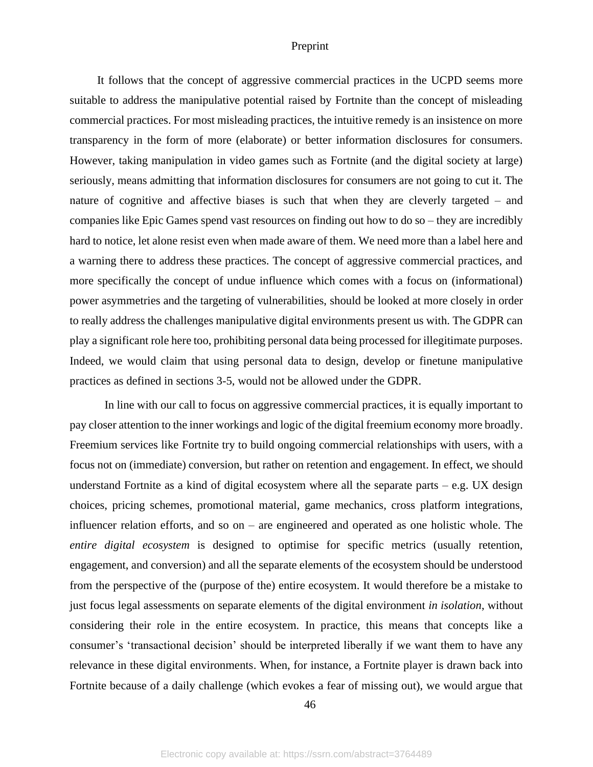It follows that the concept of aggressive commercial practices in the UCPD seems more suitable to address the manipulative potential raised by Fortnite than the concept of misleading commercial practices. For most misleading practices, the intuitive remedy is an insistence on more transparency in the form of more (elaborate) or better information disclosures for consumers. However, taking manipulation in video games such as Fortnite (and the digital society at large) seriously, means admitting that information disclosures for consumers are not going to cut it. The nature of cognitive and affective biases is such that when they are cleverly targeted – and companies like Epic Games spend vast resources on finding out how to do so – they are incredibly hard to notice, let alone resist even when made aware of them. We need more than a label here and a warning there to address these practices. The concept of aggressive commercial practices, and more specifically the concept of undue influence which comes with a focus on (informational) power asymmetries and the targeting of vulnerabilities, should be looked at more closely in order to really address the challenges manipulative digital environments present us with. The GDPR can play a significant role here too, prohibiting personal data being processed for illegitimate purposes. Indeed, we would claim that using personal data to design, develop or finetune manipulative practices as defined in sections 3-5, would not be allowed under the GDPR.

In line with our call to focus on aggressive commercial practices, it is equally important to pay closer attention to the inner workings and logic of the digital freemium economy more broadly. Freemium services like Fortnite try to build ongoing commercial relationships with users, with a focus not on (immediate) conversion, but rather on retention and engagement. In effect, we should understand Fortnite as a kind of digital ecosystem where all the separate parts  $-e.g.$  UX design choices, pricing schemes, promotional material, game mechanics, cross platform integrations, influencer relation efforts, and so on – are engineered and operated as one holistic whole. The *entire digital ecosystem* is designed to optimise for specific metrics (usually retention, engagement, and conversion) and all the separate elements of the ecosystem should be understood from the perspective of the (purpose of the) entire ecosystem. It would therefore be a mistake to just focus legal assessments on separate elements of the digital environment *in isolation*, without considering their role in the entire ecosystem. In practice, this means that concepts like a consumer's 'transactional decision' should be interpreted liberally if we want them to have any relevance in these digital environments. When, for instance, a Fortnite player is drawn back into Fortnite because of a daily challenge (which evokes a fear of missing out), we would argue that

46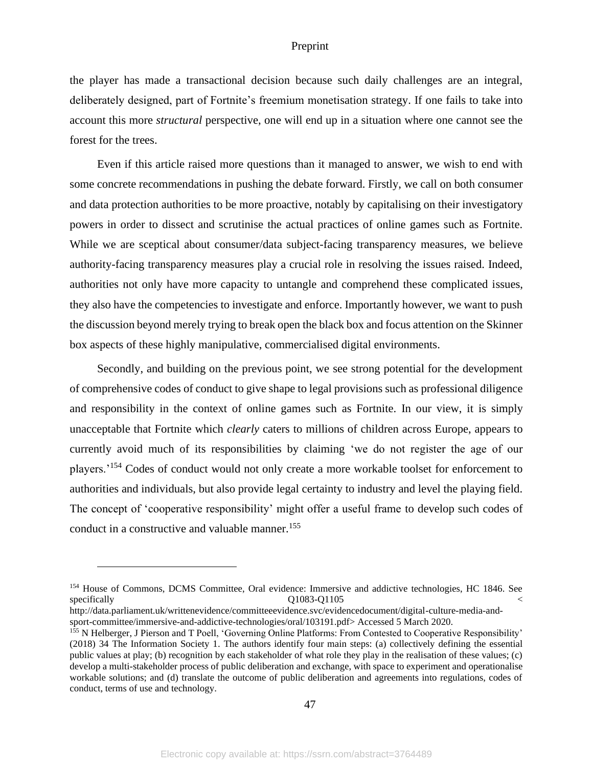the player has made a transactional decision because such daily challenges are an integral, deliberately designed, part of Fortnite's freemium monetisation strategy. If one fails to take into account this more *structural* perspective, one will end up in a situation where one cannot see the forest for the trees.

Even if this article raised more questions than it managed to answer, we wish to end with some concrete recommendations in pushing the debate forward. Firstly, we call on both consumer and data protection authorities to be more proactive, notably by capitalising on their investigatory powers in order to dissect and scrutinise the actual practices of online games such as Fortnite. While we are sceptical about consumer/data subject-facing transparency measures, we believe authority-facing transparency measures play a crucial role in resolving the issues raised. Indeed, authorities not only have more capacity to untangle and comprehend these complicated issues, they also have the competencies to investigate and enforce. Importantly however, we want to push the discussion beyond merely trying to break open the black box and focus attention on the Skinner box aspects of these highly manipulative, commercialised digital environments.

Secondly, and building on the previous point, we see strong potential for the development of comprehensive codes of conduct to give shape to legal provisions such as professional diligence and responsibility in the context of online games such as Fortnite. In our view, it is simply unacceptable that Fortnite which *clearly* caters to millions of children across Europe, appears to currently avoid much of its responsibilities by claiming 'we do not register the age of our players.<sup>'154</sup> Codes of conduct would not only create a more workable toolset for enforcement to authorities and individuals, but also provide legal certainty to industry and level the playing field. The concept of 'cooperative responsibility' might offer a useful frame to develop such codes of conduct in a constructive and valuable manner.<sup>155</sup>

<sup>154</sup> House of Commons, DCMS Committee, Oral evidence: Immersive and addictive technologies, HC 1846. See specifically  $Q1083-Q1105$  <

http://data.parliament.uk/writtenevidence/committeeevidence.svc/evidencedocument/digital-culture-media-andsport-committee/immersive-and-addictive-technologies/oral/103191.pdf> Accessed 5 March 2020.

<sup>155</sup> N Helberger, J Pierson and T Poell, 'Governing Online Platforms: From Contested to Cooperative Responsibility' (2018) 34 The Information Society 1. The authors identify four main steps: (a) collectively defining the essential public values at play; (b) recognition by each stakeholder of what role they play in the realisation of these values; (c) develop a multi-stakeholder process of public deliberation and exchange, with space to experiment and operationalise workable solutions; and (d) translate the outcome of public deliberation and agreements into regulations, codes of conduct, terms of use and technology.